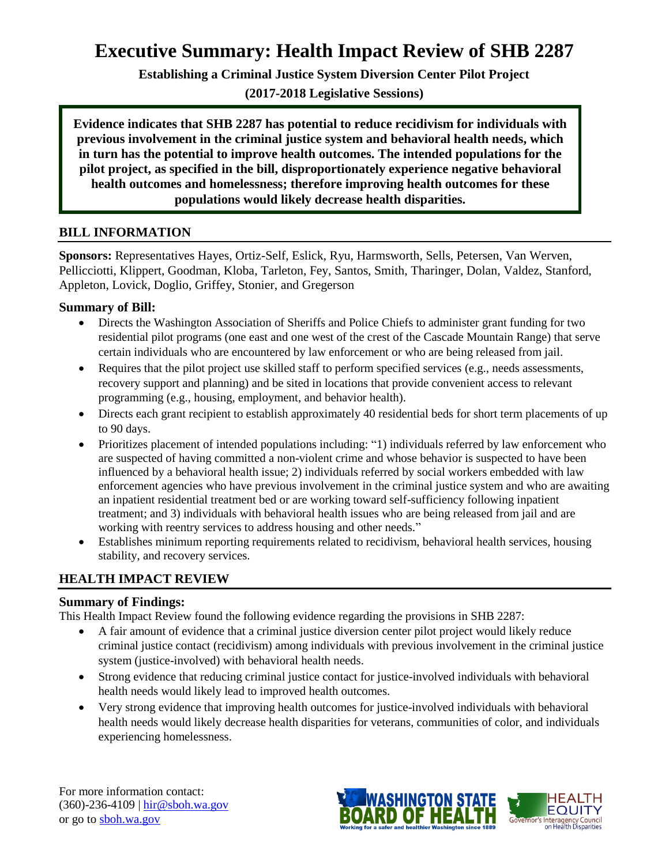## **Executive Summary: Health Impact Review of SHB 2287**

**Establishing a Criminal Justice System Diversion Center Pilot Project**

**(2017-2018 Legislative Sessions)**

**Evidence indicates that SHB 2287 has potential to reduce recidivism for individuals with previous involvement in the criminal justice system and behavioral health needs, which in turn has the potential to improve health outcomes. The intended populations for the pilot project, as specified in the bill, disproportionately experience negative behavioral health outcomes and homelessness; therefore improving health outcomes for these populations would likely decrease health disparities.** 

#### **BILL INFORMATION**

**Sponsors:** Representatives Hayes, Ortiz-Self, Eslick, Ryu, Harmsworth, Sells, Petersen, Van Werven, Pellicciotti, Klippert, Goodman, Kloba, Tarleton, Fey, Santos, Smith, Tharinger, Dolan, Valdez, Stanford, Appleton, Lovick, Doglio, Griffey, Stonier, and Gregerson

#### **Summary of Bill:**

- Directs the Washington Association of Sheriffs and Police Chiefs to administer grant funding for two residential pilot programs (one east and one west of the crest of the Cascade Mountain Range) that serve certain individuals who are encountered by law enforcement or who are being released from jail.
- Requires that the pilot project use skilled staff to perform specified services (e.g., needs assessments, recovery support and planning) and be sited in locations that provide convenient access to relevant programming (e.g., housing, employment, and behavior health).
- Directs each grant recipient to establish approximately 40 residential beds for short term placements of up to 90 days.
- Prioritizes placement of intended populations including: "1) individuals referred by law enforcement who are suspected of having committed a non-violent crime and whose behavior is suspected to have been influenced by a behavioral health issue; 2) individuals referred by social workers embedded with law enforcement agencies who have previous involvement in the criminal justice system and who are awaiting an inpatient residential treatment bed or are working toward self-sufficiency following inpatient treatment; and 3) individuals with behavioral health issues who are being released from jail and are working with reentry services to address housing and other needs."
- Establishes minimum reporting requirements related to recidivism, behavioral health services, housing stability, and recovery services.

## **HEALTH IMPACT REVIEW**

#### **Summary of Findings:**

This Health Impact Review found the following evidence regarding the provisions in SHB 2287:

- A fair amount of evidence that a criminal justice diversion center pilot project would likely reduce criminal justice contact (recidivism) among individuals with previous involvement in the criminal justice system (justice-involved) with behavioral health needs.
- Strong evidence that reducing criminal justice contact for justice-involved individuals with behavioral health needs would likely lead to improved health outcomes.
- Very strong evidence that improving health outcomes for justice-involved individuals with behavioral health needs would likely decrease health disparities for veterans, communities of color, and individuals experiencing homelessness.

For more information contact: (360)-236-4109 | [hir@sboh.wa.gov](mailto:hir@sboh.wa.gov) or go to [sboh.wa.gov](http://sboh.wa.gov/)

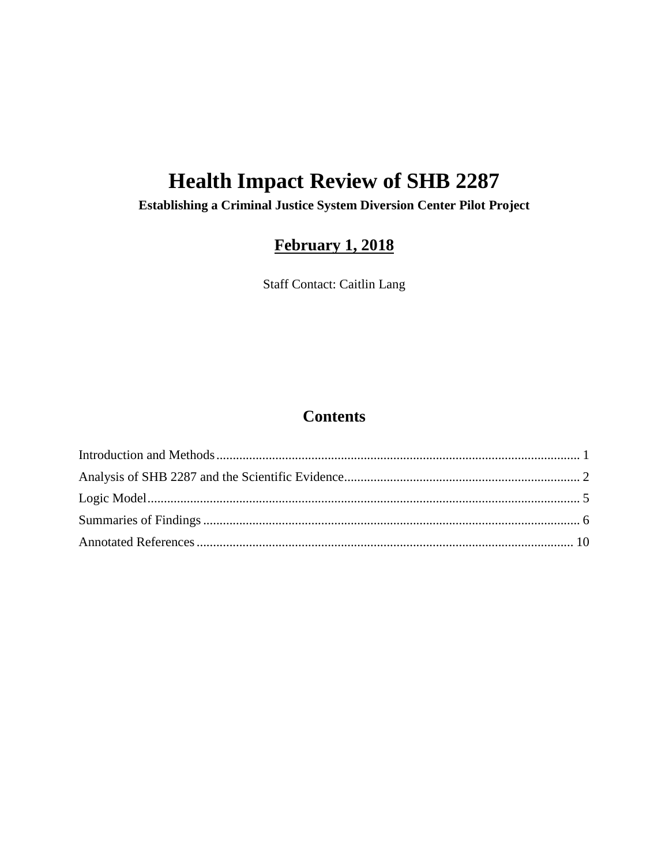# **Health Impact Review of SHB 2287**

**Establishing a Criminal Justice System Diversion Center Pilot Project**

## **February 1, 2018**

Staff Contact: Caitlin Lang

## **Contents**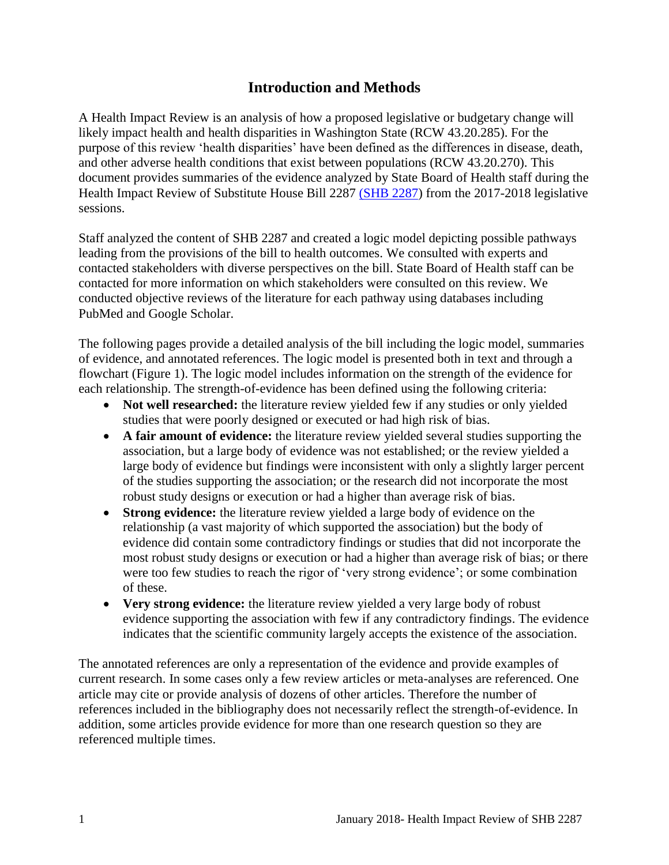## **Introduction and Methods**

<span id="page-2-0"></span>A Health Impact Review is an analysis of how a proposed legislative or budgetary change will likely impact health and health disparities in Washington State (RCW 43.20.285). For the purpose of this review 'health disparities' have been defined as the differences in disease, death, and other adverse health conditions that exist between populations (RCW 43.20.270). This document provides summaries of the evidence analyzed by State Board of Health staff during the Health Impact Review of Substitute House Bill 2287 [\(SHB 2287\)](http://lawfilesext.leg.wa.gov/biennium/2017-18/Pdf/Bills/House%20Bills/2287-S.pdf) from the 2017-2018 legislative sessions.

Staff analyzed the content of SHB 2287 and created a logic model depicting possible pathways leading from the provisions of the bill to health outcomes. We consulted with experts and contacted stakeholders with diverse perspectives on the bill. State Board of Health staff can be contacted for more information on which stakeholders were consulted on this review. We conducted objective reviews of the literature for each pathway using databases including PubMed and Google Scholar.

The following pages provide a detailed analysis of the bill including the logic model, summaries of evidence, and annotated references. The logic model is presented both in text and through a flowchart (Figure 1). The logic model includes information on the strength of the evidence for each relationship. The strength-of-evidence has been defined using the following criteria:

- Not well researched: the literature review yielded few if any studies or only yielded studies that were poorly designed or executed or had high risk of bias.
- **A fair amount of evidence:** the literature review yielded several studies supporting the association, but a large body of evidence was not established; or the review yielded a large body of evidence but findings were inconsistent with only a slightly larger percent of the studies supporting the association; or the research did not incorporate the most robust study designs or execution or had a higher than average risk of bias.
- **Strong evidence:** the literature review yielded a large body of evidence on the relationship (a vast majority of which supported the association) but the body of evidence did contain some contradictory findings or studies that did not incorporate the most robust study designs or execution or had a higher than average risk of bias; or there were too few studies to reach the rigor of 'very strong evidence'; or some combination of these.
- **Very strong evidence:** the literature review yielded a very large body of robust evidence supporting the association with few if any contradictory findings. The evidence indicates that the scientific community largely accepts the existence of the association.

The annotated references are only a representation of the evidence and provide examples of current research. In some cases only a few review articles or meta-analyses are referenced. One article may cite or provide analysis of dozens of other articles. Therefore the number of references included in the bibliography does not necessarily reflect the strength-of-evidence. In addition, some articles provide evidence for more than one research question so they are referenced multiple times.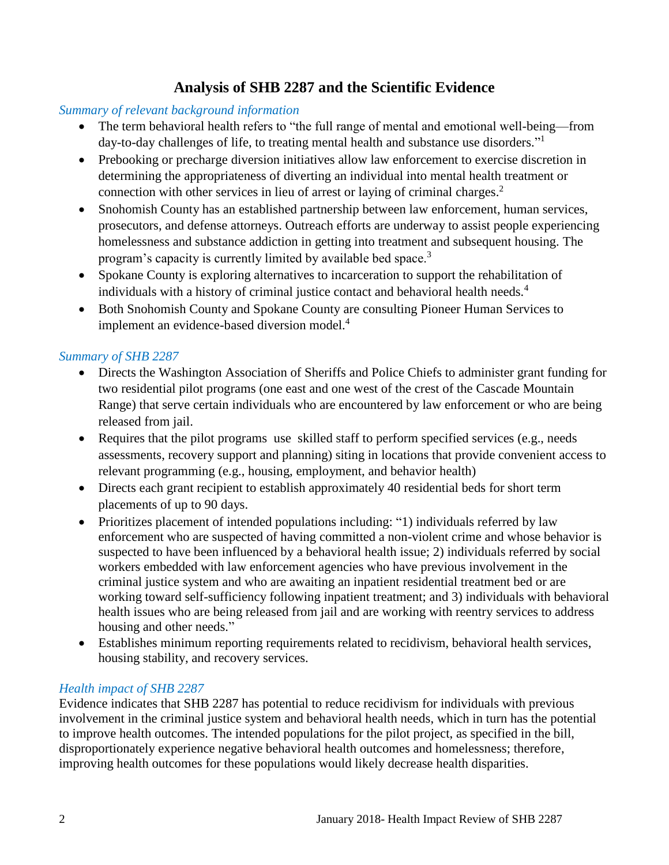## **Analysis of SHB 2287 and the Scientific Evidence**

## <span id="page-3-0"></span>*Summary of relevant background information*

- The term behavioral health refers to "the full range of mental and emotional well-being—from day-to-day challenges of life, to treating mental health and substance use disorders."<sup>1</sup>
- Prebooking or precharge diversion initiatives allow law enforcement to exercise discretion in determining the appropriateness of diverting an individual into mental health treatment or connection with other services in lieu of arrest or laying of criminal charges. 2
- Snohomish County has an established partnership between law enforcement, human services, prosecutors, and defense attorneys. Outreach efforts are underway to assist people experiencing homelessness and substance addiction in getting into treatment and subsequent housing. The program's capacity is currently limited by available bed space.<sup>3</sup>
- Spokane County is exploring alternatives to incarceration to support the rehabilitation of individuals with a history of criminal justice contact and behavioral health needs.<sup>4</sup>
- Both Snohomish County and Spokane County are consulting Pioneer Human Services to implement an evidence-based diversion model.<sup>4</sup>

## *Summary of SHB 2287*

- Directs the Washington Association of Sheriffs and Police Chiefs to administer grant funding for two residential pilot programs (one east and one west of the crest of the Cascade Mountain Range) that serve certain individuals who are encountered by law enforcement or who are being released from jail.
- Requires that the pilot programs use skilled staff to perform specified services (e.g., needs assessments, recovery support and planning) siting in locations that provide convenient access to relevant programming (e.g., housing, employment, and behavior health)
- Directs each grant recipient to establish approximately 40 residential beds for short term placements of up to 90 days.
- Prioritizes placement of intended populations including: "1) individuals referred by law enforcement who are suspected of having committed a non-violent crime and whose behavior is suspected to have been influenced by a behavioral health issue; 2) individuals referred by social workers embedded with law enforcement agencies who have previous involvement in the criminal justice system and who are awaiting an inpatient residential treatment bed or are working toward self-sufficiency following inpatient treatment; and 3) individuals with behavioral health issues who are being released from jail and are working with reentry services to address housing and other needs."
- Establishes minimum reporting requirements related to recidivism, behavioral health services, housing stability, and recovery services.

#### *Health impact of SHB 2287*

Evidence indicates that SHB 2287 has potential to reduce recidivism for individuals with previous involvement in the criminal justice system and behavioral health needs, which in turn has the potential to improve health outcomes. The intended populations for the pilot project, as specified in the bill, disproportionately experience negative behavioral health outcomes and homelessness; therefore, improving health outcomes for these populations would likely decrease health disparities.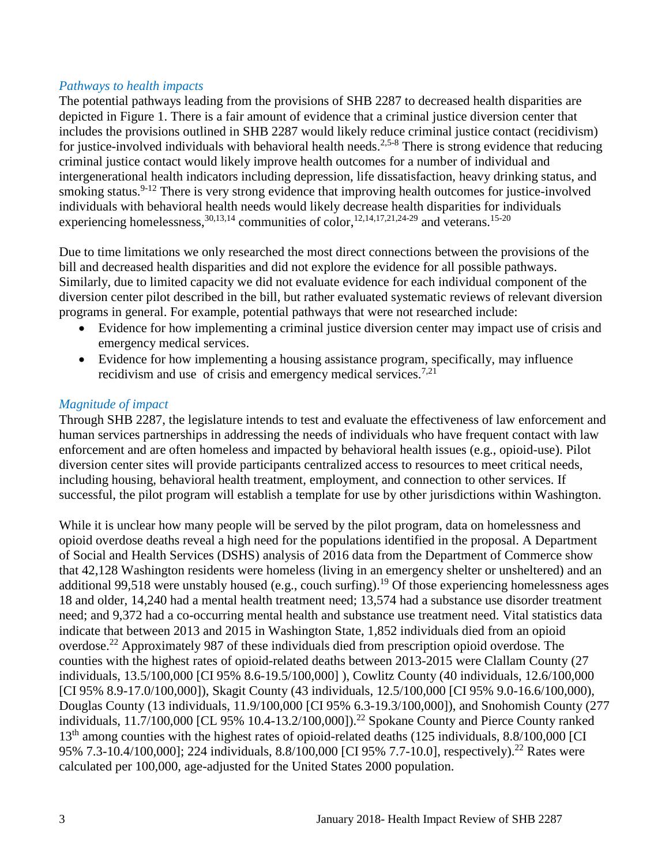#### *Pathways to health impacts*

The potential pathways leading from the provisions of SHB 2287 to decreased health disparities are depicted in Figure 1. There is a fair amount of evidence that a criminal justice diversion center that includes the provisions outlined in SHB 2287 would likely reduce criminal justice contact (recidivism) for justice-involved individuals with behavioral health needs.<sup>[2,](#page-11-0)[5-8](#page-11-1)</sup> There is strong evidence that reducing criminal justice contact would likely improve health outcomes for a number of individual and intergenerational health indicators including depression, life dissatisfaction, heavy drinking status, and smoking status.<sup>9-12</sup> There is very strong evidence that improving health outcomes for justice-involved individuals with behavioral health needs would likely decrease health disparities for individuals experiencing homelessness,  $30,13,14$  $30,13,14$  $30,13,14$  communities of color,  $12,14,17,21,24-29$  $12,14,17,21,24-29$  $12,14,17,21,24-29$  $12,14,17,21,24-29$  $12,14,17,21,24-29$  and veterans.  $15-20$ 

Due to time limitations we only researched the most direct connections between the provisions of the bill and decreased health disparities and did not explore the evidence for all possible pathways. Similarly, due to limited capacity we did not evaluate evidence for each individual component of the diversion center pilot described in the bill, but rather evaluated systematic reviews of relevant diversion programs in general. For example, potential pathways that were not researched include:

- Evidence for how implementing a criminal justice diversion center may impact use of crisis and emergency medical services.
- Evidence for how implementing a housing assistance program, specifically, may influence recidivism and use of crisis and emergency medical services.<sup>[7,](#page-13-0)[21](#page-18-0)</sup>

#### *Magnitude of impact*

Through SHB 2287, the legislature intends to test and evaluate the effectiveness of law enforcement and human services partnerships in addressing the needs of individuals who have frequent contact with law enforcement and are often homeless and impacted by behavioral health issues (e.g., opioid-use). Pilot diversion center sites will provide participants centralized access to resources to meet critical needs, including housing, behavioral health treatment, employment, and connection to other services. If successful, the pilot program will establish a template for use by other jurisdictions within Washington.

While it is unclear how many people will be served by the pilot program, data on homelessness and opioid overdose deaths reveal a high need for the populations identified in the proposal. A Department of Social and Health Services (DSHS) analysis of 2016 data from the Department of Commerce show that 42,128 Washington residents were homeless (living in an emergency shelter or unsheltered) and an additional 99,518 were unstably housed (e.g., couch surfing).<sup>19</sup> Of those experiencing homelessness ages 18 and older, 14,240 had a mental health treatment need; 13,574 had a substance use disorder treatment need; and 9,372 had a co-occurring mental health and substance use treatment need. Vital statistics data indicate that between 2013 and 2015 in Washington State, 1,852 individuals died from an opioid overdose.<sup>22</sup> Approximately 987 of these individuals died from prescription opioid overdose. The counties with the highest rates of opioid-related deaths between 2013-2015 were Clallam County (27 individuals, 13.5/100,000 [CI 95% 8.6-19.5/100,000] ), Cowlitz County (40 individuals, 12.6/100,000 [CI 95% 8.9-17.0/100,000]), Skagit County (43 individuals, 12.5/100,000 [CI 95% 9.0-16.6/100,000), Douglas County (13 individuals, 11.9/100,000 [CI 95% 6.3-19.3/100,000]), and Snohomish County (277 individuals, 11.7/100,000 [CL 95% 10.4-13.2/100,000]).<sup>22</sup> Spokane County and Pierce County ranked 13<sup>th</sup> among counties with the highest rates of opioid-related deaths (125 individuals, 8.8/100,000 [CI] 95% 7.3-10.4/100,000]; 224 individuals, 8.8/100,000 [CI 95% 7.7-10.0], respectively).<sup>22</sup> Rates were calculated per 100,000, age-adjusted for the United States 2000 population.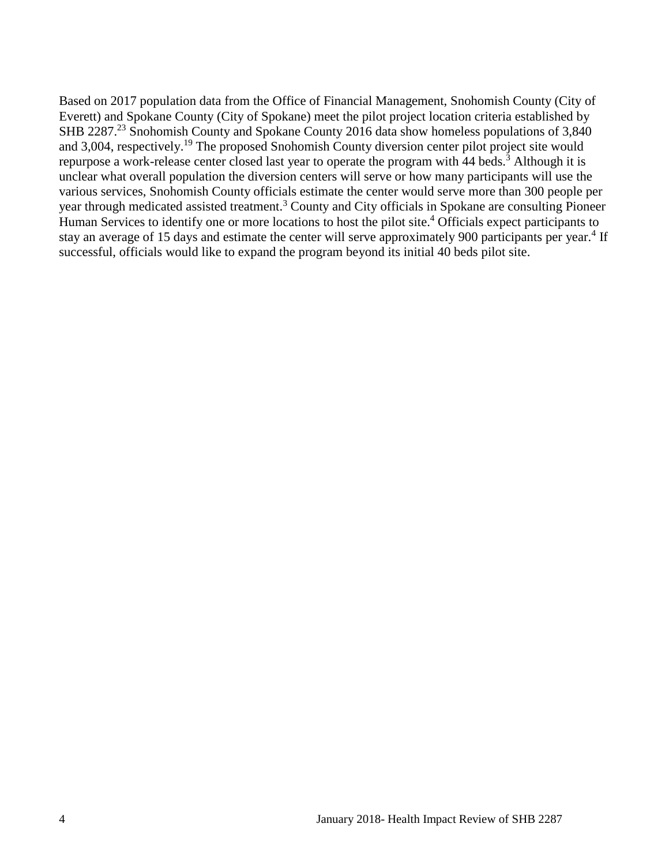Based on 2017 population data from the Office of Financial Management, Snohomish County (City of Everett) and Spokane County (City of Spokane) meet the pilot project location criteria established by SHB 2287.<sup>23</sup> Snohomish County and Spokane County 2016 data show homeless populations of 3,840 and 3,004, respectively.<sup>19</sup> The proposed Snohomish County diversion center pilot project site would repurpose a work-release center closed last year to operate the program with 44 beds.<sup>3</sup> Although it is unclear what overall population the diversion centers will serve or how many participants will use the various services, Snohomish County officials estimate the center would serve more than 300 people per year through medicated assisted treatment.<sup>3</sup> County and City officials in Spokane are consulting Pioneer Human Services to identify one or more locations to host the pilot site.<sup>4</sup> Officials expect participants to stay an average of 15 days and estimate the center will serve approximately 900 participants per year.<sup>4</sup> If successful, officials would like to expand the program beyond its initial 40 beds pilot site.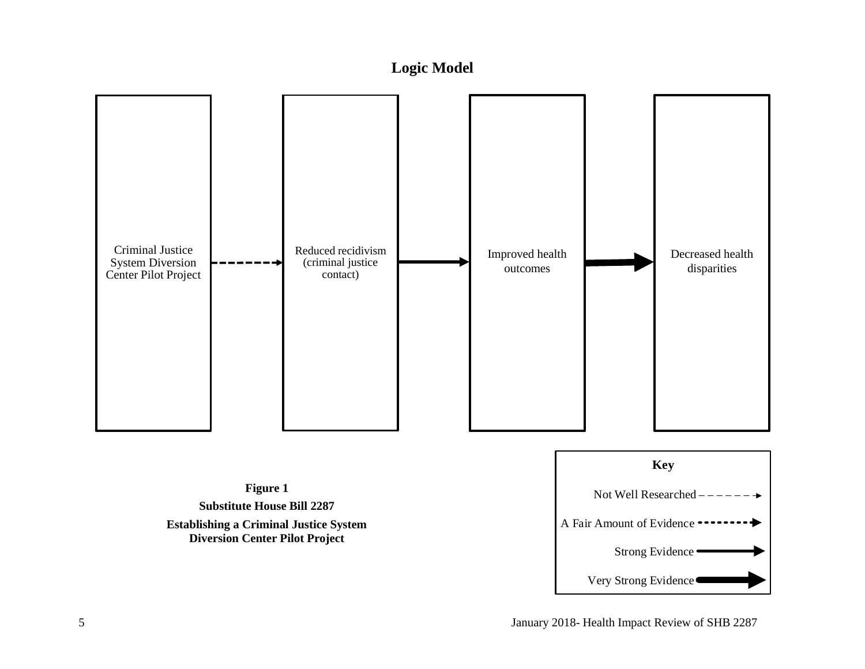## **Logic Model**

<span id="page-6-0"></span>

## **Figure 1 Substitute House Bill 2287 Establishing a Criminal Justice System Diversion Center Pilot Project**

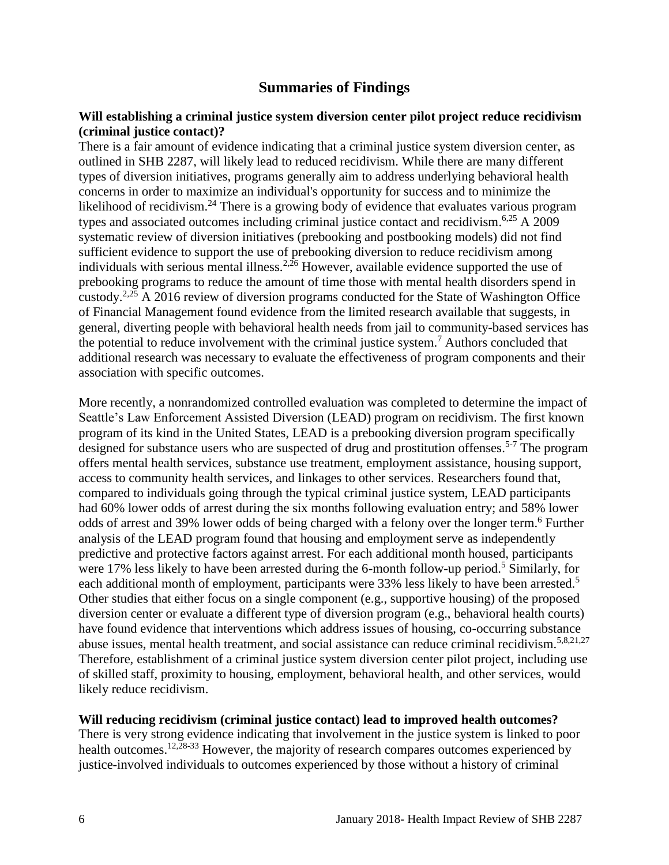## **Summaries of Findings**

#### <span id="page-7-0"></span>**Will establishing a criminal justice system diversion center pilot project reduce recidivism (criminal justice contact)?**

There is a fair amount of evidence indicating that a criminal justice system diversion center, as outlined in SHB 2287, will likely lead to reduced recidivism. While there are many different types of diversion initiatives, programs generally aim to address underlying behavioral health concerns in order to maximize an individual's opportunity for success and to minimize the likelihood of recidivism.<sup>24</sup> There is a growing body of evidence that evaluates various program types and associated outcomes including criminal justice contact and recidivism.<sup>[6](#page-12-0)[,25](#page-20-0)</sup> A 2009 systematic review of diversion initiatives (prebooking and postbooking models) did not find sufficient evidence to support the use of prebooking diversion to reduce recidivism among individuals with serious mental illness.<sup>[2](#page-11-0)[,26](#page-20-1)</sup> However, available evidence supported the use of prebooking programs to reduce the amount of time those with mental health disorders spend in custody.<sup>[2,](#page-11-0)[25](#page-20-0)</sup> A 2016 review of diversion programs conducted for the State of Washington Office of Financial Management found evidence from the limited research available that suggests, in general, diverting people with behavioral health needs from jail to community-based services has the potential to reduce involvement with the criminal justice system.<sup>7</sup> Authors concluded that additional research was necessary to evaluate the effectiveness of program components and their association with specific outcomes.

More recently, a nonrandomized controlled evaluation was completed to determine the impact of Seattle's Law Enforcement Assisted Diversion (LEAD) program on recidivism. The first known program of its kind in the United States, LEAD is a prebooking diversion program specifically designed for substance users who are suspected of drug and prostitution offenses.<sup>5-7</sup> The program offers mental health services, substance use treatment, employment assistance, housing support, access to community health services, and linkages to other services. Researchers found that, compared to individuals going through the typical criminal justice system, LEAD participants had 60% lower odds of arrest during the six months following evaluation entry; and 58% lower odds of arrest and 39% lower odds of being charged with a felony over the longer term. <sup>6</sup> Further analysis of the LEAD program found that housing and employment serve as independently predictive and protective factors against arrest. For each additional month housed, participants were 17% less likely to have been arrested during the 6-month follow-up period.<sup>5</sup> Similarly, for each additional month of employment, participants were 33% less likely to have been arrested.<sup>5</sup> Other studies that either focus on a single component (e.g., supportive housing) of the proposed diversion center or evaluate a different type of diversion program (e.g., behavioral health courts) have found evidence that interventions which address issues of housing, co-occurring substance abuse issues, mental health treatment, and social assistance can reduce criminal recidivism.<sup>[5,](#page-11-1)[8,](#page-13-1)[21,](#page-18-0)[27](#page-21-0)</sup> Therefore, establishment of a criminal justice system diversion center pilot project, including use of skilled staff, proximity to housing, employment, behavioral health, and other services, would likely reduce recidivism.

#### **Will reducing recidivism (criminal justice contact) lead to improved health outcomes?**

There is very strong evidence indicating that involvement in the justice system is linked to poor health outcomes.<sup>[12,](#page-15-1)[28-33](#page-21-1)</sup> However, the majority of research compares outcomes experienced by justice-involved individuals to outcomes experienced by those without a history of criminal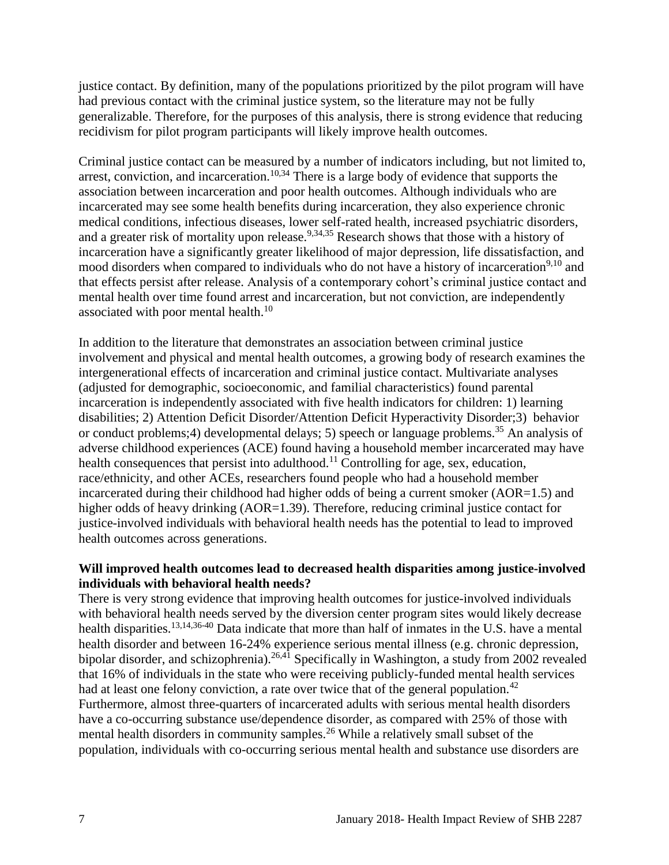justice contact. By definition, many of the populations prioritized by the pilot program will have had previous contact with the criminal justice system, so the literature may not be fully generalizable. Therefore, for the purposes of this analysis, there is strong evidence that reducing recidivism for pilot program participants will likely improve health outcomes.

Criminal justice contact can be measured by a number of indicators including, but not limited to, arrest, conviction, and incarceration.<sup>[10,](#page-14-0)[34](#page-23-0)</sup> There is a large body of evidence that supports the association between incarceration and poor health outcomes. Although individuals who are incarcerated may see some health benefits during incarceration, they also experience chronic medical conditions, infectious diseases, lower self-rated health, increased psychiatric disorders, and a greater risk of mortality upon release.<sup>[9,](#page-13-2)[34,](#page-23-0)[35](#page-23-1)</sup> Research shows that those with a history of incarceration have a significantly greater likelihood of major depression, life dissatisfaction, and mood disorders when compared to individuals who do not have a history of incarceration<sup>[9](#page-13-2)[,10](#page-14-0)</sup> and that effects persist after release. Analysis of a contemporary cohort's criminal justice contact and mental health over time found arrest and incarceration, but not conviction, are independently associated with poor mental health. $10$ 

In addition to the literature that demonstrates an association between criminal justice involvement and physical and mental health outcomes, a growing body of research examines the intergenerational effects of incarceration and criminal justice contact. Multivariate analyses (adjusted for demographic, socioeconomic, and familial characteristics) found parental incarceration is independently associated with five health indicators for children: 1) learning disabilities; 2) Attention Deficit Disorder/Attention Deficit Hyperactivity Disorder;3) behavior or conduct problems;4) developmental delays; 5) speech or language problems.<sup>35</sup> An analysis of adverse childhood experiences (ACE) found having a household member incarcerated may have health consequences that persist into adulthood.<sup>11</sup> Controlling for age, sex, education, race/ethnicity, and other ACEs, researchers found people who had a household member incarcerated during their childhood had higher odds of being a current smoker (AOR=1.5) and higher odds of heavy drinking (AOR=1.39). Therefore, reducing criminal justice contact for justice-involved individuals with behavioral health needs has the potential to lead to improved health outcomes across generations.

#### **Will improved health outcomes lead to decreased health disparities among justice-involved individuals with behavioral health needs?**

There is very strong evidence that improving health outcomes for justice-involved individuals with behavioral health needs served by the diversion center program sites would likely decrease health disparities.<sup>[13,](#page-15-0)[14,](#page-16-0)[36-40](#page-24-0)</sup> Data indicate that more than half of inmates in the U.S. have a mental health disorder and between 16-24% experience serious mental illness (e.g. chronic depression, bipolar disorder, and schizophrenia).<sup>[26,](#page-20-1)[41](#page-26-0)</sup> Specifically in Washington, a study from 2002 revealed that 16% of individuals in the state who were receiving publicly-funded mental health services had at least one felony conviction, a rate over twice that of the general population.<sup>42</sup> Furthermore, almost three-quarters of incarcerated adults with serious mental health disorders have a co-occurring substance use/dependence disorder, as compared with 25% of those with mental health disorders in community samples.<sup>26</sup> While a relatively small subset of the population, individuals with co-occurring serious mental health and substance use disorders are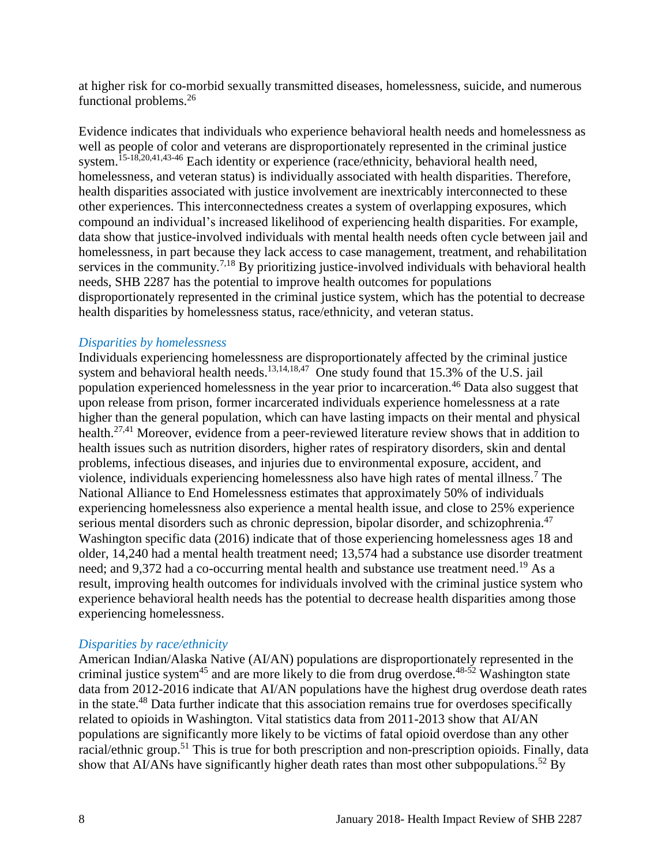at higher risk for co-morbid sexually transmitted diseases, homelessness, suicide, and numerous functional problems.<sup>26</sup>

Evidence indicates that individuals who experience behavioral health needs and homelessness as well as people of color and veterans are disproportionately represented in the criminal justice system.<sup>[15-18](#page-16-1)[,20](#page-18-1)[,41](#page-26-0)[,43-46](#page-26-1)</sup> Each identity or experience (race/ethnicity, behavioral health need, homelessness, and veteran status) is individually associated with health disparities. Therefore, health disparities associated with justice involvement are inextricably interconnected to these other experiences. This interconnectedness creates a system of overlapping exposures, which compound an individual's increased likelihood of experiencing health disparities. For example, data show that justice-involved individuals with mental health needs often cycle between jail and homelessness, in part because they lack access to case management, treatment, and rehabilitation services in the community.<sup>[7,](#page-13-0)[18](#page-17-1)</sup> By prioritizing justice-involved individuals with behavioral health needs, SHB 2287 has the potential to improve health outcomes for populations disproportionately represented in the criminal justice system, which has the potential to decrease health disparities by homelessness status, race/ethnicity, and veteran status.

#### *Disparities by homelessness*

Individuals experiencing homelessness are disproportionately affected by the criminal justice system and behavioral health needs.<sup>[13](#page-15-0)[,14](#page-16-0)[,18](#page-17-1)[,47](#page-27-0)</sup> One study found that 15.3% of the U.S. jail population experienced homelessness in the year prior to incarceration.<sup>46</sup> Data also suggest that upon release from prison, former incarcerated individuals experience homelessness at a rate higher than the general population, which can have lasting impacts on their mental and physical health.<sup>[27,](#page-21-0)[41](#page-26-0)</sup> Moreover, evidence from a peer-reviewed literature review shows that in addition to health issues such as nutrition disorders, higher rates of respiratory disorders, skin and dental problems, infectious diseases, and injuries due to environmental exposure, accident, and violence, individuals experiencing homelessness also have high rates of mental illness.<sup>7</sup> The National Alliance to End Homelessness estimates that approximately 50% of individuals experiencing homelessness also experience a mental health issue, and close to 25% experience serious mental disorders such as chronic depression, bipolar disorder, and schizophrenia.<sup>47</sup> Washington specific data (2016) indicate that of those experiencing homelessness ages 18 and older, 14,240 had a mental health treatment need; 13,574 had a substance use disorder treatment need; and 9,372 had a co-occurring mental health and substance use treatment need.<sup>19</sup> As a result, improving health outcomes for individuals involved with the criminal justice system who experience behavioral health needs has the potential to decrease health disparities among those experiencing homelessness.

#### *Disparities by race/ethnicity*

American Indian/Alaska Native (AI/AN) populations are disproportionately represented in the criminal justice system<sup>45</sup> and are more likely to die from drug overdose.<sup>48-52</sup> Washington state data from 2012-2016 indicate that AI/AN populations have the highest drug overdose death rates in the state.<sup>48</sup> Data further indicate that this association remains true for overdoses specifically related to opioids in Washington. Vital statistics data from 2011-2013 show that AI/AN populations are significantly more likely to be victims of fatal opioid overdose than any other racial/ethnic group.<sup>51</sup> This is true for both prescription and non-prescription opioids. Finally, data show that AI/ANs have significantly higher death rates than most other subpopulations.<sup>52</sup> By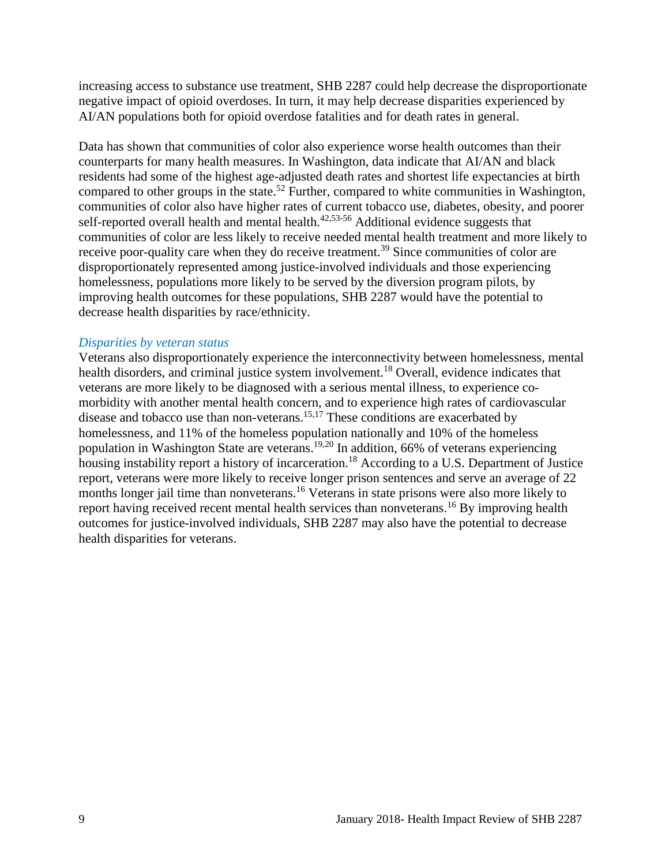increasing access to substance use treatment, SHB 2287 could help decrease the disproportionate negative impact of opioid overdoses. In turn, it may help decrease disparities experienced by AI/AN populations both for opioid overdose fatalities and for death rates in general.

Data has shown that communities of color also experience worse health outcomes than their counterparts for many health measures. In Washington, data indicate that AI/AN and black residents had some of the highest age-adjusted death rates and shortest life expectancies at birth compared to other groups in the state.<sup>52</sup> Further, compared to white communities in Washington, communities of color also have higher rates of current tobacco use, diabetes, obesity, and poorer self-reported overall health and mental health. $42,53-56$  $42,53-56$  Additional evidence suggests that communities of color are less likely to receive needed mental health treatment and more likely to receive poor-quality care when they do receive treatment.<sup>39</sup> Since communities of color are disproportionately represented among justice-involved individuals and those experiencing homelessness, populations more likely to be served by the diversion program pilots, by improving health outcomes for these populations, SHB 2287 would have the potential to decrease health disparities by race/ethnicity.

#### *Disparities by veteran status*

<span id="page-10-0"></span>Veterans also disproportionately experience the interconnectivity between homelessness, mental health disorders, and criminal justice system involvement.<sup>18</sup> Overall, evidence indicates that veterans are more likely to be diagnosed with a serious mental illness, to experience comorbidity with another mental health concern, and to experience high rates of cardiovascular disease and tobacco use than non-veterans.<sup>[15](#page-16-1)[,17](#page-17-0)</sup> These conditions are exacerbated by homelessness, and 11% of the homeless population nationally and 10% of the homeless population in Washington State are veterans.<sup>[19,](#page-17-2)[20](#page-18-1)</sup> In addition, 66% of veterans experiencing housing instability report a history of incarceration.<sup>18</sup> According to a U.S. Department of Justice report, veterans were more likely to receive longer prison sentences and serve an average of 22 months longer jail time than nonveterans.<sup>16</sup> Veterans in state prisons were also more likely to report having received recent mental health services than nonveterans.<sup>16</sup> By improving health outcomes for justice-involved individuals, SHB 2287 may also have the potential to decrease health disparities for veterans.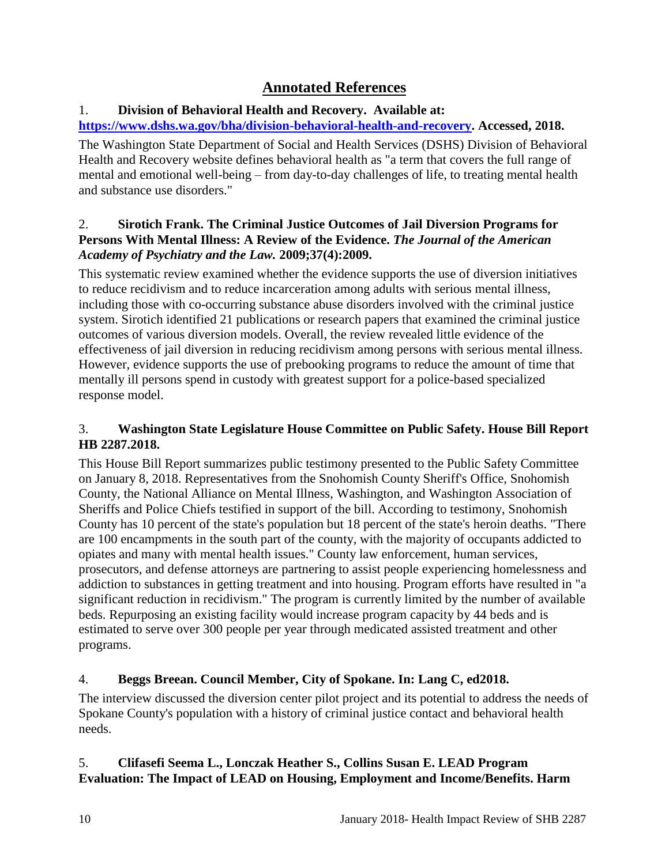## **Annotated References**

## 1. **Division of Behavioral Health and Recovery. Available at:**

## **[https://www.dshs.wa.gov/bha/division-behavioral-health-and-recovery.](https://www.dshs.wa.gov/bha/division-behavioral-health-and-recovery) Accessed, 2018.**

The Washington State Department of Social and Health Services (DSHS) Division of Behavioral Health and Recovery website defines behavioral health as "a term that covers the full range of mental and emotional well-being – from day-to-day challenges of life, to treating mental health and substance use disorders."

## <span id="page-11-0"></span>2. **Sirotich Frank. The Criminal Justice Outcomes of Jail Diversion Programs for Persons With Mental Illness: A Review of the Evidence.** *The Journal of the American Academy of Psychiatry and the Law.* **2009;37(4):2009.**

This systematic review examined whether the evidence supports the use of diversion initiatives to reduce recidivism and to reduce incarceration among adults with serious mental illness, including those with co-occurring substance abuse disorders involved with the criminal justice system. Sirotich identified 21 publications or research papers that examined the criminal justice outcomes of various diversion models. Overall, the review revealed little evidence of the effectiveness of jail diversion in reducing recidivism among persons with serious mental illness. However, evidence supports the use of prebooking programs to reduce the amount of time that mentally ill persons spend in custody with greatest support for a police-based specialized response model.

## 3. **Washington State Legislature House Committee on Public Safety. House Bill Report HB 2287.2018.**

This House Bill Report summarizes public testimony presented to the Public Safety Committee on January 8, 2018. Representatives from the Snohomish County Sheriff's Office, Snohomish County, the National Alliance on Mental Illness, Washington, and Washington Association of Sheriffs and Police Chiefs testified in support of the bill. According to testimony, Snohomish County has 10 percent of the state's population but 18 percent of the state's heroin deaths. "There are 100 encampments in the south part of the county, with the majority of occupants addicted to opiates and many with mental health issues." County law enforcement, human services, prosecutors, and defense attorneys are partnering to assist people experiencing homelessness and addiction to substances in getting treatment and into housing. Program efforts have resulted in "a significant reduction in recidivism." The program is currently limited by the number of available beds. Repurposing an existing facility would increase program capacity by 44 beds and is estimated to serve over 300 people per year through medicated assisted treatment and other programs.

## 4. **Beggs Breean. Council Member, City of Spokane. In: Lang C, ed2018.**

The interview discussed the diversion center pilot project and its potential to address the needs of Spokane County's population with a history of criminal justice contact and behavioral health needs.

## <span id="page-11-1"></span>5. **Clifasefi Seema L., Lonczak Heather S., Collins Susan E. LEAD Program Evaluation: The Impact of LEAD on Housing, Employment and Income/Benefits. Harm**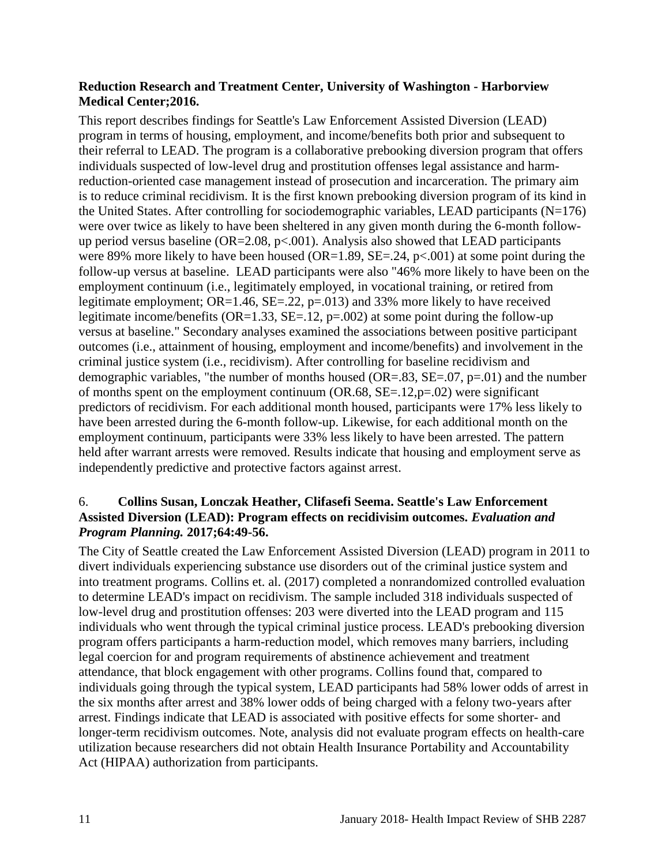#### **Reduction Research and Treatment Center, University of Washington - Harborview Medical Center;2016.**

This report describes findings for Seattle's Law Enforcement Assisted Diversion (LEAD) program in terms of housing, employment, and income/benefits both prior and subsequent to their referral to LEAD. The program is a collaborative prebooking diversion program that offers individuals suspected of low-level drug and prostitution offenses legal assistance and harmreduction-oriented case management instead of prosecution and incarceration. The primary aim is to reduce criminal recidivism. It is the first known prebooking diversion program of its kind in the United States. After controlling for sociodemographic variables, LEAD participants  $(N=176)$ were over twice as likely to have been sheltered in any given month during the 6-month followup period versus baseline ( $OR = 2.08$ ,  $p < .001$ ). Analysis also showed that LEAD participants were 89% more likely to have been housed (OR=1.89, SE=.24,  $p<0.001$ ) at some point during the follow-up versus at baseline. LEAD participants were also "46% more likely to have been on the employment continuum (i.e., legitimately employed, in vocational training, or retired from legitimate employment;  $OR=1.46$ ,  $SE=.22$ ,  $p=.013$ ) and 33% more likely to have received legitimate income/benefits (OR=1.33, SE=.12,  $p=.002$ ) at some point during the follow-up versus at baseline." Secondary analyses examined the associations between positive participant outcomes (i.e., attainment of housing, employment and income/benefits) and involvement in the criminal justice system (i.e., recidivism). After controlling for baseline recidivism and demographic variables, "the number of months housed ( $OR=.83$ ,  $SE=.07$ ,  $p=.01$ ) and the number of months spent on the employment continuum (OR.68,  $SE = .12$ ,  $p = .02$ ) were significant predictors of recidivism. For each additional month housed, participants were 17% less likely to have been arrested during the 6-month follow-up. Likewise, for each additional month on the employment continuum, participants were 33% less likely to have been arrested. The pattern held after warrant arrests were removed. Results indicate that housing and employment serve as independently predictive and protective factors against arrest.

#### <span id="page-12-0"></span>6. **Collins Susan, Lonczak Heather, Clifasefi Seema. Seattle's Law Enforcement Assisted Diversion (LEAD): Program effects on recidivisim outcomes.** *Evaluation and Program Planning.* **2017;64:49-56.**

The City of Seattle created the Law Enforcement Assisted Diversion (LEAD) program in 2011 to divert individuals experiencing substance use disorders out of the criminal justice system and into treatment programs. Collins et. al. (2017) completed a nonrandomized controlled evaluation to determine LEAD's impact on recidivism. The sample included 318 individuals suspected of low-level drug and prostitution offenses: 203 were diverted into the LEAD program and 115 individuals who went through the typical criminal justice process. LEAD's prebooking diversion program offers participants a harm-reduction model, which removes many barriers, including legal coercion for and program requirements of abstinence achievement and treatment attendance, that block engagement with other programs. Collins found that, compared to individuals going through the typical system, LEAD participants had 58% lower odds of arrest in the six months after arrest and 38% lower odds of being charged with a felony two-years after arrest. Findings indicate that LEAD is associated with positive effects for some shorter- and longer-term recidivism outcomes. Note, analysis did not evaluate program effects on health-care utilization because researchers did not obtain Health Insurance Portability and Accountability Act (HIPAA) authorization from participants.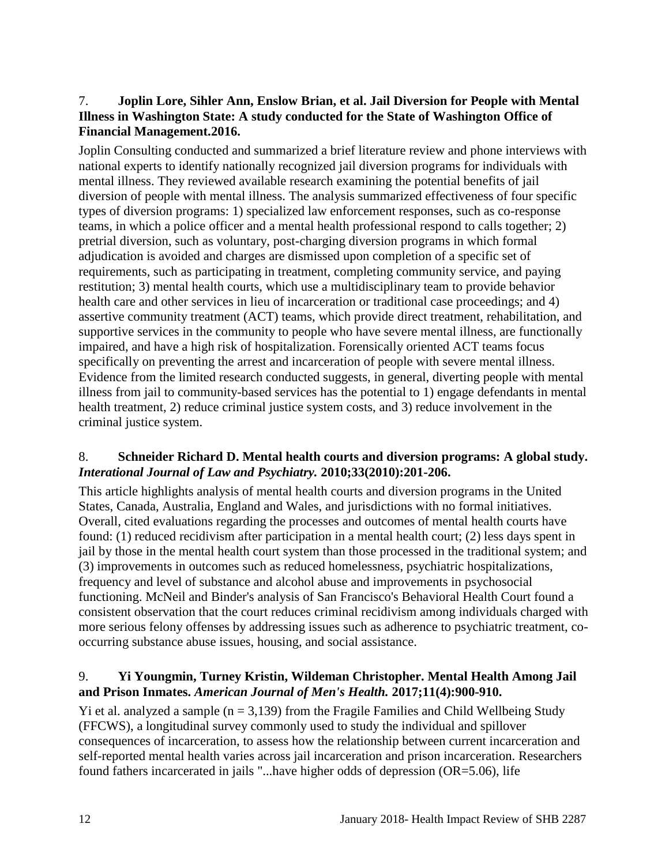## <span id="page-13-0"></span>7. **Joplin Lore, Sihler Ann, Enslow Brian, et al. Jail Diversion for People with Mental Illness in Washington State: A study conducted for the State of Washington Office of Financial Management.2016.**

Joplin Consulting conducted and summarized a brief literature review and phone interviews with national experts to identify nationally recognized jail diversion programs for individuals with mental illness. They reviewed available research examining the potential benefits of jail diversion of people with mental illness. The analysis summarized effectiveness of four specific types of diversion programs: 1) specialized law enforcement responses, such as co-response teams, in which a police officer and a mental health professional respond to calls together; 2) pretrial diversion, such as voluntary, post-charging diversion programs in which formal adjudication is avoided and charges are dismissed upon completion of a specific set of requirements, such as participating in treatment, completing community service, and paying restitution; 3) mental health courts, which use a multidisciplinary team to provide behavior health care and other services in lieu of incarceration or traditional case proceedings; and 4) assertive community treatment (ACT) teams, which provide direct treatment, rehabilitation, and supportive services in the community to people who have severe mental illness, are functionally impaired, and have a high risk of hospitalization. Forensically oriented ACT teams focus specifically on preventing the arrest and incarceration of people with severe mental illness. Evidence from the limited research conducted suggests, in general, diverting people with mental illness from jail to community-based services has the potential to 1) engage defendants in mental health treatment, 2) reduce criminal justice system costs, and 3) reduce involvement in the criminal justice system.

## <span id="page-13-1"></span>8. **Schneider Richard D. Mental health courts and diversion programs: A global study.**  *Interational Journal of Law and Psychiatry.* **2010;33(2010):201-206.**

This article highlights analysis of mental health courts and diversion programs in the United States, Canada, Australia, England and Wales, and jurisdictions with no formal initiatives. Overall, cited evaluations regarding the processes and outcomes of mental health courts have found: (1) reduced recidivism after participation in a mental health court; (2) less days spent in jail by those in the mental health court system than those processed in the traditional system; and (3) improvements in outcomes such as reduced homelessness, psychiatric hospitalizations, frequency and level of substance and alcohol abuse and improvements in psychosocial functioning. McNeil and Binder's analysis of San Francisco's Behavioral Health Court found a consistent observation that the court reduces criminal recidivism among individuals charged with more serious felony offenses by addressing issues such as adherence to psychiatric treatment, cooccurring substance abuse issues, housing, and social assistance.

## <span id="page-13-2"></span>9. **Yi Youngmin, Turney Kristin, Wildeman Christopher. Mental Health Among Jail and Prison Inmates.** *American Journal of Men's Health.* **2017;11(4):900-910.**

Yi et al. analyzed a sample  $(n = 3,139)$  from the Fragile Families and Child Wellbeing Study (FFCWS), a longitudinal survey commonly used to study the individual and spillover consequences of incarceration, to assess how the relationship between current incarceration and self-reported mental health varies across jail incarceration and prison incarceration. Researchers found fathers incarcerated in jails "...have higher odds of depression (OR=5.06), life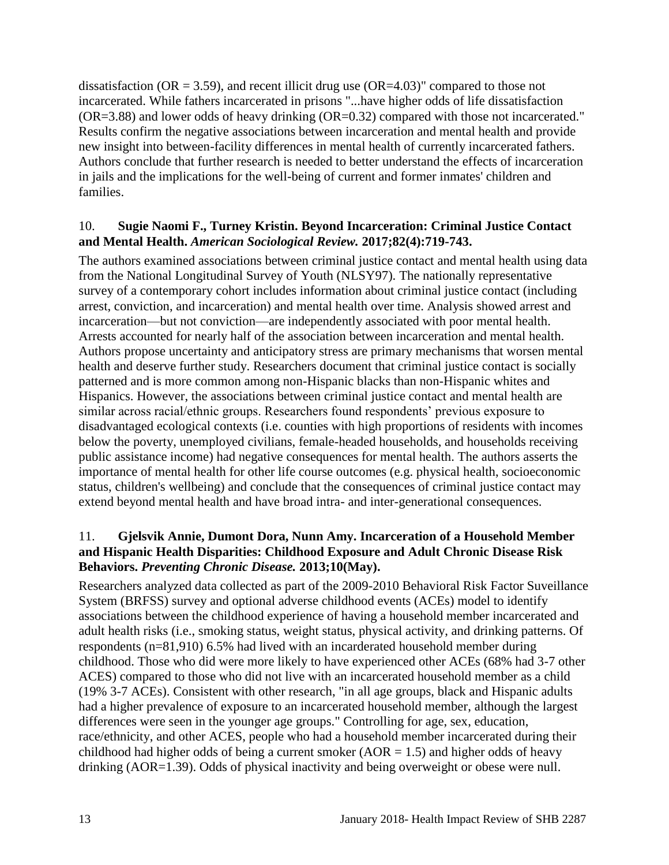dissatisfaction (OR = 3.59), and recent illicit drug use (OR=4.03)" compared to those not incarcerated. While fathers incarcerated in prisons "...have higher odds of life dissatisfaction  $(OR=3.88)$  and lower odds of heavy drinking  $(OR=0.32)$  compared with those not incarcerated." Results confirm the negative associations between incarceration and mental health and provide new insight into between-facility differences in mental health of currently incarcerated fathers. Authors conclude that further research is needed to better understand the effects of incarceration in jails and the implications for the well-being of current and former inmates' children and families.

#### <span id="page-14-0"></span>10. **Sugie Naomi F., Turney Kristin. Beyond Incarceration: Criminal Justice Contact and Mental Health.** *American Sociological Review.* **2017;82(4):719-743.**

The authors examined associations between criminal justice contact and mental health using data from the National Longitudinal Survey of Youth (NLSY97). The nationally representative survey of a contemporary cohort includes information about criminal justice contact (including arrest, conviction, and incarceration) and mental health over time. Analysis showed arrest and incarceration—but not conviction—are independently associated with poor mental health. Arrests accounted for nearly half of the association between incarceration and mental health. Authors propose uncertainty and anticipatory stress are primary mechanisms that worsen mental health and deserve further study. Researchers document that criminal justice contact is socially patterned and is more common among non-Hispanic blacks than non-Hispanic whites and Hispanics. However, the associations between criminal justice contact and mental health are similar across racial/ethnic groups. Researchers found respondents' previous exposure to disadvantaged ecological contexts (i.e. counties with high proportions of residents with incomes below the poverty, unemployed civilians, female-headed households, and households receiving public assistance income) had negative consequences for mental health. The authors asserts the importance of mental health for other life course outcomes (e.g. physical health, socioeconomic status, children's wellbeing) and conclude that the consequences of criminal justice contact may extend beyond mental health and have broad intra- and inter-generational consequences.

## 11. **Gjelsvik Annie, Dumont Dora, Nunn Amy. Incarceration of a Household Member and Hispanic Health Disparities: Childhood Exposure and Adult Chronic Disease Risk Behaviors.** *Preventing Chronic Disease.* **2013;10(May).**

Researchers analyzed data collected as part of the 2009-2010 Behavioral Risk Factor Suveillance System (BRFSS) survey and optional adverse childhood events (ACEs) model to identify associations between the childhood experience of having a household member incarcerated and adult health risks (i.e., smoking status, weight status, physical activity, and drinking patterns. Of respondents (n=81,910) 6.5% had lived with an incarderated household member during childhood. Those who did were more likely to have experienced other ACEs (68% had 3-7 other ACES) compared to those who did not live with an incarcerated household member as a child (19% 3-7 ACEs). Consistent with other research, "in all age groups, black and Hispanic adults had a higher prevalence of exposure to an incarcerated household member, although the largest differences were seen in the younger age groups." Controlling for age, sex, education, race/ethnicity, and other ACES, people who had a household member incarcerated during their childhood had higher odds of being a current smoker ( $AOR = 1.5$ ) and higher odds of heavy drinking (AOR=1.39). Odds of physical inactivity and being overweight or obese were null.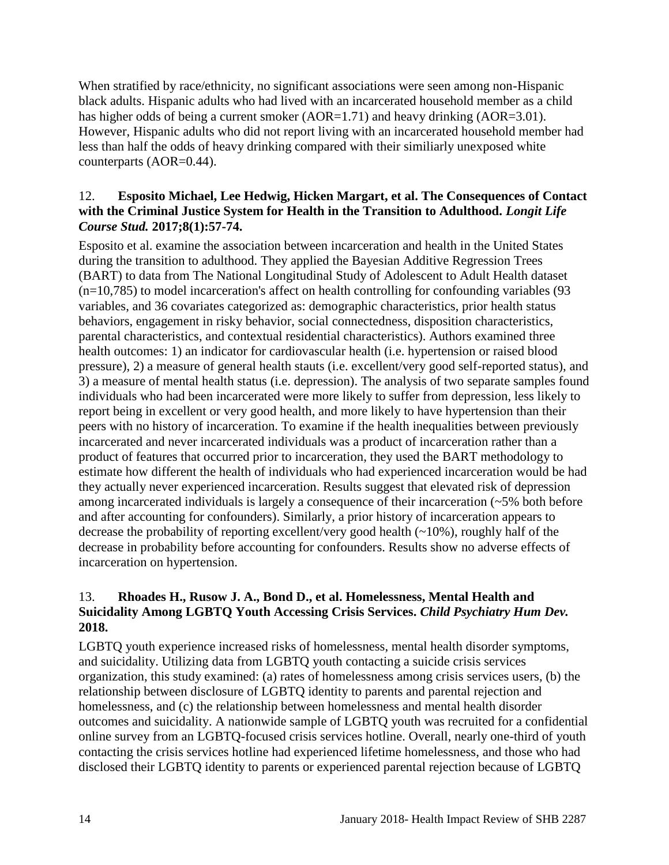When stratified by race/ethnicity, no significant associations were seen among non-Hispanic black adults. Hispanic adults who had lived with an incarcerated household member as a child has higher odds of being a current smoker (AOR=1.71) and heavy drinking (AOR=3.01). However, Hispanic adults who did not report living with an incarcerated household member had less than half the odds of heavy drinking compared with their similiarly unexposed white counterparts (AOR=0.44).

#### <span id="page-15-1"></span>12. **Esposito Michael, Lee Hedwig, Hicken Margart, et al. The Consequences of Contact with the Criminal Justice System for Health in the Transition to Adulthood.** *Longit Life Course Stud.* **2017;8(1):57-74.**

Esposito et al. examine the association between incarceration and health in the United States during the transition to adulthood. They applied the Bayesian Additive Regression Trees (BART) to data from The National Longitudinal Study of Adolescent to Adult Health dataset  $(n=10,785)$  to model incarceration's affect on health controlling for confounding variables (93) variables, and 36 covariates categorized as: demographic characteristics, prior health status behaviors, engagement in risky behavior, social connectedness, disposition characteristics, parental characteristics, and contextual residential characteristics). Authors examined three health outcomes: 1) an indicator for cardiovascular health (i.e. hypertension or raised blood pressure), 2) a measure of general health stauts (i.e. excellent/very good self-reported status), and 3) a measure of mental health status (i.e. depression). The analysis of two separate samples found individuals who had been incarcerated were more likely to suffer from depression, less likely to report being in excellent or very good health, and more likely to have hypertension than their peers with no history of incarceration. To examine if the health inequalities between previously incarcerated and never incarcerated individuals was a product of incarceration rather than a product of features that occurred prior to incarceration, they used the BART methodology to estimate how different the health of individuals who had experienced incarceration would be had they actually never experienced incarceration. Results suggest that elevated risk of depression among incarcerated individuals is largely a consequence of their incarceration (~5% both before and after accounting for confounders). Similarly, a prior history of incarceration appears to decrease the probability of reporting excellent/very good health (~10%), roughly half of the decrease in probability before accounting for confounders. Results show no adverse effects of incarceration on hypertension.

## <span id="page-15-0"></span>13. **Rhoades H., Rusow J. A., Bond D., et al. Homelessness, Mental Health and Suicidality Among LGBTQ Youth Accessing Crisis Services.** *Child Psychiatry Hum Dev.*  **2018.**

LGBTQ youth experience increased risks of homelessness, mental health disorder symptoms, and suicidality. Utilizing data from LGBTQ youth contacting a suicide crisis services organization, this study examined: (a) rates of homelessness among crisis services users, (b) the relationship between disclosure of LGBTQ identity to parents and parental rejection and homelessness, and (c) the relationship between homelessness and mental health disorder outcomes and suicidality. A nationwide sample of LGBTQ youth was recruited for a confidential online survey from an LGBTQ-focused crisis services hotline. Overall, nearly one-third of youth contacting the crisis services hotline had experienced lifetime homelessness, and those who had disclosed their LGBTQ identity to parents or experienced parental rejection because of LGBTQ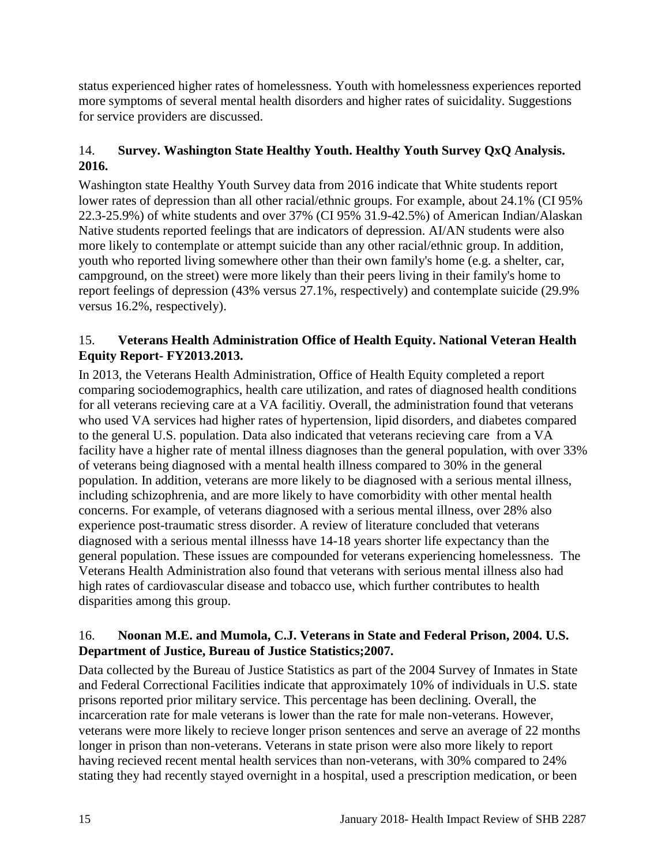status experienced higher rates of homelessness. Youth with homelessness experiences reported more symptoms of several mental health disorders and higher rates of suicidality. Suggestions for service providers are discussed.

## <span id="page-16-0"></span>14. **Survey. Washington State Healthy Youth. Healthy Youth Survey QxQ Analysis. 2016.**

Washington state Healthy Youth Survey data from 2016 indicate that White students report lower rates of depression than all other racial/ethnic groups. For example, about 24.1% (CI 95% 22.3-25.9%) of white students and over 37% (CI 95% 31.9-42.5%) of American Indian/Alaskan Native students reported feelings that are indicators of depression. AI/AN students were also more likely to contemplate or attempt suicide than any other racial/ethnic group. In addition, youth who reported living somewhere other than their own family's home (e.g. a shelter, car, campground, on the street) were more likely than their peers living in their family's home to report feelings of depression (43% versus 27.1%, respectively) and contemplate suicide (29.9% versus 16.2%, respectively).

## <span id="page-16-1"></span>15. **Veterans Health Administration Office of Health Equity. National Veteran Health Equity Report- FY2013.2013.**

In 2013, the Veterans Health Administration, Office of Health Equity completed a report comparing sociodemographics, health care utilization, and rates of diagnosed health conditions for all veterans recieving care at a VA facilitiy. Overall, the administration found that veterans who used VA services had higher rates of hypertension, lipid disorders, and diabetes compared to the general U.S. population. Data also indicated that veterans recieving care from a VA facility have a higher rate of mental illness diagnoses than the general population, with over 33% of veterans being diagnosed with a mental health illness compared to 30% in the general population. In addition, veterans are more likely to be diagnosed with a serious mental illness, including schizophrenia, and are more likely to have comorbidity with other mental health concerns. For example, of veterans diagnosed with a serious mental illness, over 28% also experience post-traumatic stress disorder. A review of literature concluded that veterans diagnosed with a serious mental illnesss have 14-18 years shorter life expectancy than the general population. These issues are compounded for veterans experiencing homelessness. The Veterans Health Administration also found that veterans with serious mental illness also had high rates of cardiovascular disease and tobacco use, which further contributes to health disparities among this group.

## 16. **Noonan M.E. and Mumola, C.J. Veterans in State and Federal Prison, 2004. U.S. Department of Justice, Bureau of Justice Statistics;2007.**

Data collected by the Bureau of Justice Statistics as part of the 2004 Survey of Inmates in State and Federal Correctional Facilities indicate that approximately 10% of individuals in U.S. state prisons reported prior military service. This percentage has been declining. Overall, the incarceration rate for male veterans is lower than the rate for male non-veterans. However, veterans were more likely to recieve longer prison sentences and serve an average of 22 months longer in prison than non-veterans. Veterans in state prison were also more likely to report having recieved recent mental health services than non-veterans, with 30% compared to 24% stating they had recently stayed overnight in a hospital, used a prescription medication, or been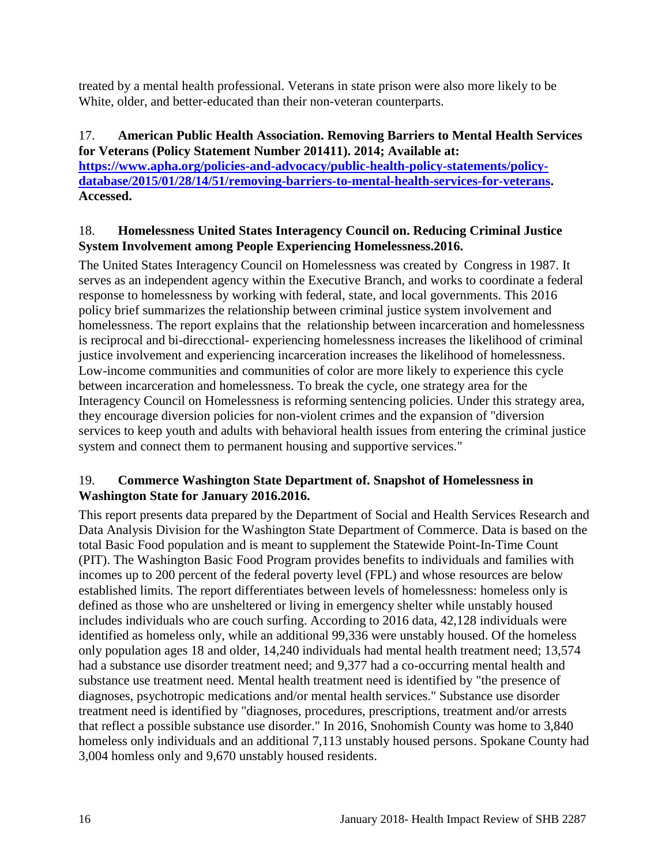treated by a mental health professional. Veterans in state prison were also more likely to be White, older, and better-educated than their non-veteran counterparts.

#### <span id="page-17-0"></span>17. **American Public Health Association. Removing Barriers to Mental Health Services for Veterans (Policy Statement Number 201411). 2014; Available at:**

**[https://www.apha.org/policies-and-advocacy/public-health-policy-statements/policy](https://www.apha.org/policies-and-advocacy/public-health-policy-statements/policy-database/2015/01/28/14/51/removing-barriers-to-mental-health-services-for-veterans)[database/2015/01/28/14/51/removing-barriers-to-mental-health-services-for-veterans.](https://www.apha.org/policies-and-advocacy/public-health-policy-statements/policy-database/2015/01/28/14/51/removing-barriers-to-mental-health-services-for-veterans) Accessed.**

## <span id="page-17-1"></span>18. **Homelessness United States Interagency Council on. Reducing Criminal Justice System Involvement among People Experiencing Homelessness.2016.**

The United States Interagency Council on Homelessness was created by Congress in 1987. It serves as an independent agency within the Executive Branch, and works to coordinate a federal response to homelessness by working with federal, state, and local governments. This 2016 policy brief summarizes the relationship between criminal justice system involvement and homelessness. The report explains that the relationship between incarceration and homelessness is reciprocal and bi-direcctional- experiencing homelessness increases the likelihood of criminal justice involvement and experiencing incarceration increases the likelihood of homelessness. Low-income communities and communities of color are more likely to experience this cycle between incarceration and homelessness. To break the cycle, one strategy area for the Interagency Council on Homelessness is reforming sentencing policies. Under this strategy area, they encourage diversion policies for non-violent crimes and the expansion of "diversion services to keep youth and adults with behavioral health issues from entering the criminal justice system and connect them to permanent housing and supportive services."

## <span id="page-17-2"></span>19. **Commerce Washington State Department of. Snapshot of Homelessness in Washington State for January 2016.2016.**

This report presents data prepared by the Department of Social and Health Services Research and Data Analysis Division for the Washington State Department of Commerce. Data is based on the total Basic Food population and is meant to supplement the Statewide Point-In-Time Count (PIT). The Washington Basic Food Program provides benefits to individuals and families with incomes up to 200 percent of the federal poverty level (FPL) and whose resources are below established limits. The report differentiates between levels of homelessness: homeless only is defined as those who are unsheltered or living in emergency shelter while unstably housed includes individuals who are couch surfing. According to 2016 data, 42,128 individuals were identified as homeless only, while an additional 99,336 were unstably housed. Of the homeless only population ages 18 and older, 14,240 individuals had mental health treatment need; 13,574 had a substance use disorder treatment need; and 9,377 had a co-occurring mental health and substance use treatment need. Mental health treatment need is identified by "the presence of diagnoses, psychotropic medications and/or mental health services." Substance use disorder treatment need is identified by "diagnoses, procedures, prescriptions, treatment and/or arrests that reflect a possible substance use disorder." In 2016, Snohomish County was home to 3,840 homeless only individuals and an additional 7,113 unstably housed persons. Spokane County had 3,004 homless only and 9,670 unstably housed residents.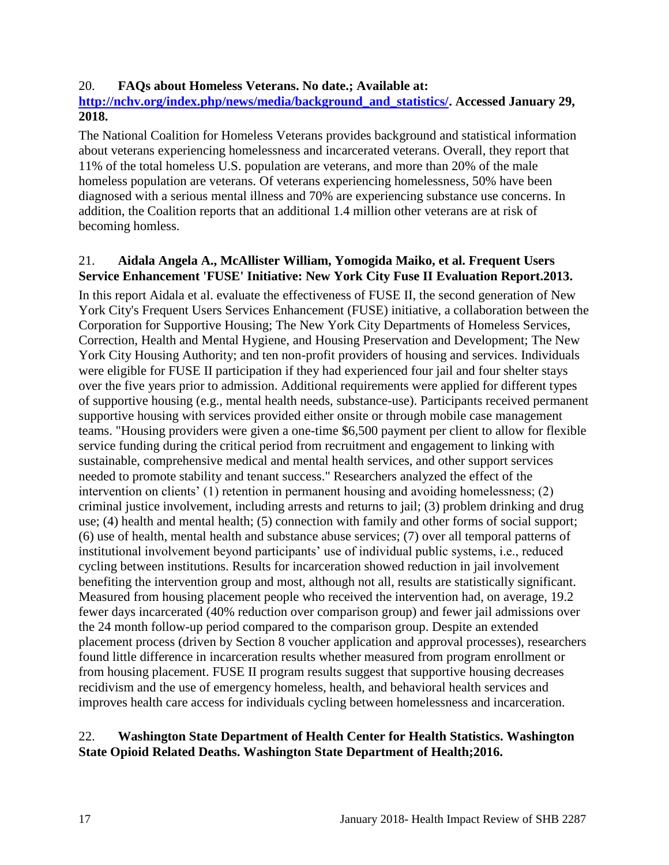#### <span id="page-18-1"></span>20. **FAQs about Homeless Veterans. No date.; Available at:**

#### **[http://nchv.org/index.php/news/media/background\\_and\\_statistics/.](http://nchv.org/index.php/news/media/background_and_statistics/) Accessed January 29, 2018.**

The National Coalition for Homeless Veterans provides background and statistical information about veterans experiencing homelessness and incarcerated veterans. Overall, they report that 11% of the total homeless U.S. population are veterans, and more than 20% of the male homeless population are veterans. Of veterans experiencing homelessness, 50% have been diagnosed with a serious mental illness and 70% are experiencing substance use concerns. In addition, the Coalition reports that an additional 1.4 million other veterans are at risk of becoming homless.

#### <span id="page-18-0"></span>21. **Aidala Angela A., McAllister William, Yomogida Maiko, et al. Frequent Users Service Enhancement 'FUSE' Initiative: New York City Fuse II Evaluation Report.2013.**

In this report Aidala et al. evaluate the effectiveness of FUSE II, the second generation of New York City's Frequent Users Services Enhancement (FUSE) initiative, a collaboration between the Corporation for Supportive Housing; The New York City Departments of Homeless Services, Correction, Health and Mental Hygiene, and Housing Preservation and Development; The New York City Housing Authority; and ten non-profit providers of housing and services. Individuals were eligible for FUSE II participation if they had experienced four jail and four shelter stays over the five years prior to admission. Additional requirements were applied for different types of supportive housing (e.g., mental health needs, substance-use). Participants received permanent supportive housing with services provided either onsite or through mobile case management teams. "Housing providers were given a one-time \$6,500 payment per client to allow for flexible service funding during the critical period from recruitment and engagement to linking with sustainable, comprehensive medical and mental health services, and other support services needed to promote stability and tenant success." Researchers analyzed the effect of the intervention on clients' (1) retention in permanent housing and avoiding homelessness; (2) criminal justice involvement, including arrests and returns to jail; (3) problem drinking and drug use; (4) health and mental health; (5) connection with family and other forms of social support; (6) use of health, mental health and substance abuse services; (7) over all temporal patterns of institutional involvement beyond participants' use of individual public systems, i.e., reduced cycling between institutions. Results for incarceration showed reduction in jail involvement benefiting the intervention group and most, although not all, results are statistically significant. Measured from housing placement people who received the intervention had, on average, 19.2 fewer days incarcerated (40% reduction over comparison group) and fewer jail admissions over the 24 month follow-up period compared to the comparison group. Despite an extended placement process (driven by Section 8 voucher application and approval processes), researchers found little difference in incarceration results whether measured from program enrollment or from housing placement. FUSE II program results suggest that supportive housing decreases recidivism and the use of emergency homeless, health, and behavioral health services and improves health care access for individuals cycling between homelessness and incarceration.

#### 22. **Washington State Department of Health Center for Health Statistics. Washington State Opioid Related Deaths. Washington State Department of Health;2016.**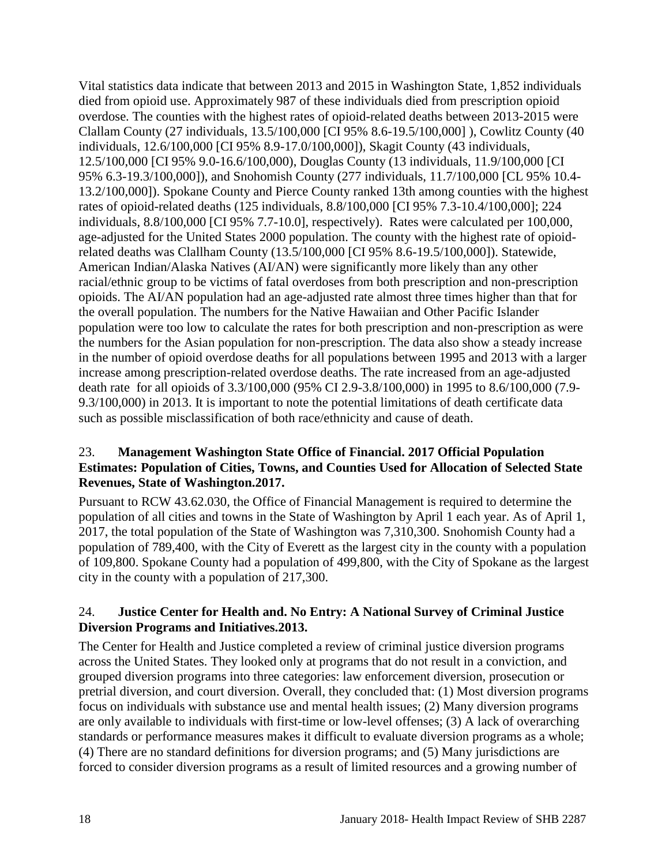Vital statistics data indicate that between 2013 and 2015 in Washington State, 1,852 individuals died from opioid use. Approximately 987 of these individuals died from prescription opioid overdose. The counties with the highest rates of opioid-related deaths between 2013-2015 were Clallam County (27 individuals, 13.5/100,000 [CI 95% 8.6-19.5/100,000] ), Cowlitz County (40 individuals, 12.6/100,000 [CI 95% 8.9-17.0/100,000]), Skagit County (43 individuals, 12.5/100,000 [CI 95% 9.0-16.6/100,000), Douglas County (13 individuals, 11.9/100,000 [CI 95% 6.3-19.3/100,000]), and Snohomish County (277 individuals, 11.7/100,000 [CL 95% 10.4- 13.2/100,000]). Spokane County and Pierce County ranked 13th among counties with the highest rates of opioid-related deaths (125 individuals, 8.8/100,000 [CI 95% 7.3-10.4/100,000]; 224 individuals, 8.8/100,000 [CI 95% 7.7-10.0], respectively). Rates were calculated per 100,000, age-adjusted for the United States 2000 population. The county with the highest rate of opioidrelated deaths was Clallham County (13.5/100,000 [CI 95% 8.6-19.5/100,000]). Statewide, American Indian/Alaska Natives (AI/AN) were significantly more likely than any other racial/ethnic group to be victims of fatal overdoses from both prescription and non-prescription opioids. The AI/AN population had an age-adjusted rate almost three times higher than that for the overall population. The numbers for the Native Hawaiian and Other Pacific Islander population were too low to calculate the rates for both prescription and non-prescription as were the numbers for the Asian population for non-prescription. The data also show a steady increase in the number of opioid overdose deaths for all populations between 1995 and 2013 with a larger increase among prescription-related overdose deaths. The rate increased from an age-adjusted death rate for all opioids of 3.3/100,000 (95% CI 2.9-3.8/100,000) in 1995 to 8.6/100,000 (7.9- 9.3/100,000) in 2013. It is important to note the potential limitations of death certificate data such as possible misclassification of both race/ethnicity and cause of death.

## 23. **Management Washington State Office of Financial. 2017 Official Population Estimates: Population of Cities, Towns, and Counties Used for Allocation of Selected State Revenues, State of Washington.2017.**

Pursuant to RCW 43.62.030, the Office of Financial Management is required to determine the population of all cities and towns in the State of Washington by April 1 each year. As of April 1, 2017, the total population of the State of Washington was 7,310,300. Snohomish County had a population of 789,400, with the City of Everett as the largest city in the county with a population of 109,800. Spokane County had a population of 499,800, with the City of Spokane as the largest city in the county with a population of 217,300.

## <span id="page-19-0"></span>24. **Justice Center for Health and. No Entry: A National Survey of Criminal Justice Diversion Programs and Initiatives.2013.**

The Center for Health and Justice completed a review of criminal justice diversion programs across the United States. They looked only at programs that do not result in a conviction, and grouped diversion programs into three categories: law enforcement diversion, prosecution or pretrial diversion, and court diversion. Overall, they concluded that: (1) Most diversion programs focus on individuals with substance use and mental health issues; (2) Many diversion programs are only available to individuals with first-time or low-level offenses; (3) A lack of overarching standards or performance measures makes it difficult to evaluate diversion programs as a whole; (4) There are no standard definitions for diversion programs; and (5) Many jurisdictions are forced to consider diversion programs as a result of limited resources and a growing number of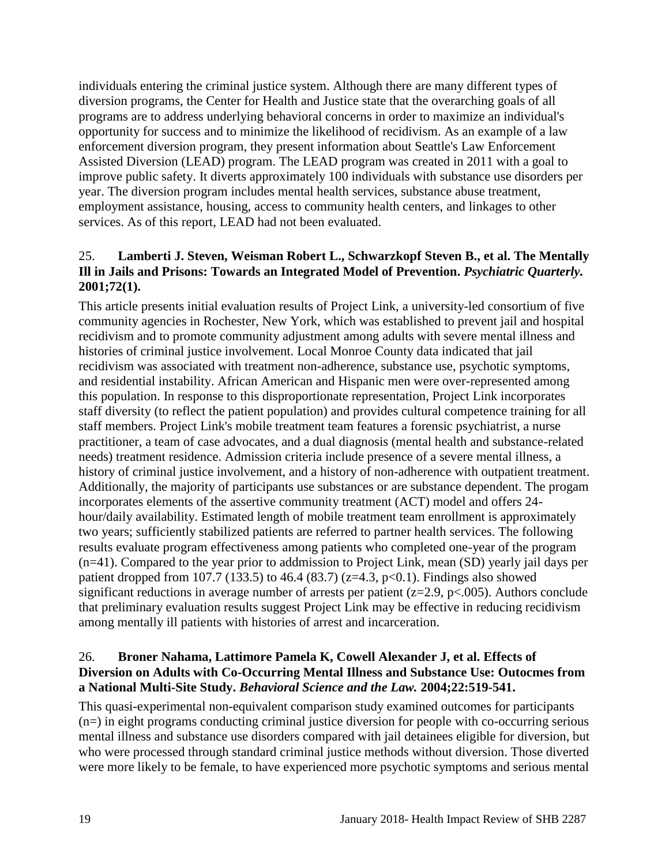individuals entering the criminal justice system. Although there are many different types of diversion programs, the Center for Health and Justice state that the overarching goals of all programs are to address underlying behavioral concerns in order to maximize an individual's opportunity for success and to minimize the likelihood of recidivism. As an example of a law enforcement diversion program, they present information about Seattle's Law Enforcement Assisted Diversion (LEAD) program. The LEAD program was created in 2011 with a goal to improve public safety. It diverts approximately 100 individuals with substance use disorders per year. The diversion program includes mental health services, substance abuse treatment, employment assistance, housing, access to community health centers, and linkages to other services. As of this report, LEAD had not been evaluated.

## <span id="page-20-0"></span>25. **Lamberti J. Steven, Weisman Robert L., Schwarzkopf Steven B., et al. The Mentally Ill in Jails and Prisons: Towards an Integrated Model of Prevention.** *Psychiatric Quarterly.*  **2001;72(1).**

This article presents initial evaluation results of Project Link, a university-led consortium of five community agencies in Rochester, New York, which was established to prevent jail and hospital recidivism and to promote community adjustment among adults with severe mental illness and histories of criminal justice involvement. Local Monroe County data indicated that jail recidivism was associated with treatment non-adherence, substance use, psychotic symptoms, and residential instability. African American and Hispanic men were over-represented among this population. In response to this disproportionate representation, Project Link incorporates staff diversity (to reflect the patient population) and provides cultural competence training for all staff members. Project Link's mobile treatment team features a forensic psychiatrist, a nurse practitioner, a team of case advocates, and a dual diagnosis (mental health and substance-related needs) treatment residence. Admission criteria include presence of a severe mental illness, a history of criminal justice involvement, and a history of non-adherence with outpatient treatment. Additionally, the majority of participants use substances or are substance dependent. The progam incorporates elements of the assertive community treatment (ACT) model and offers 24 hour/daily availability. Estimated length of mobile treatment team enrollment is approximately two years; sufficiently stabilized patients are referred to partner health services. The following results evaluate program effectiveness among patients who completed one-year of the program (n=41). Compared to the year prior to addmission to Project Link, mean (SD) yearly jail days per patient dropped from 107.7 (133.5) to 46.4 (83.7) ( $z=4.3$ ,  $p<0.1$ ). Findings also showed significant reductions in average number of arrests per patient ( $z=2.9$ ,  $p<.005$ ). Authors conclude that preliminary evaluation results suggest Project Link may be effective in reducing recidivism among mentally ill patients with histories of arrest and incarceration.

## <span id="page-20-1"></span>26. **Broner Nahama, Lattimore Pamela K, Cowell Alexander J, et al. Effects of Diversion on Adults with Co-Occurring Mental Illness and Substance Use: Outocmes from a National Multi-Site Study.** *Behavioral Science and the Law.* **2004;22:519-541.**

This quasi-experimental non-equivalent comparison study examined outcomes for participants  $(n=)$  in eight programs conducting criminal justice diversion for people with co-occurring serious mental illness and substance use disorders compared with jail detainees eligible for diversion, but who were processed through standard criminal justice methods without diversion. Those diverted were more likely to be female, to have experienced more psychotic symptoms and serious mental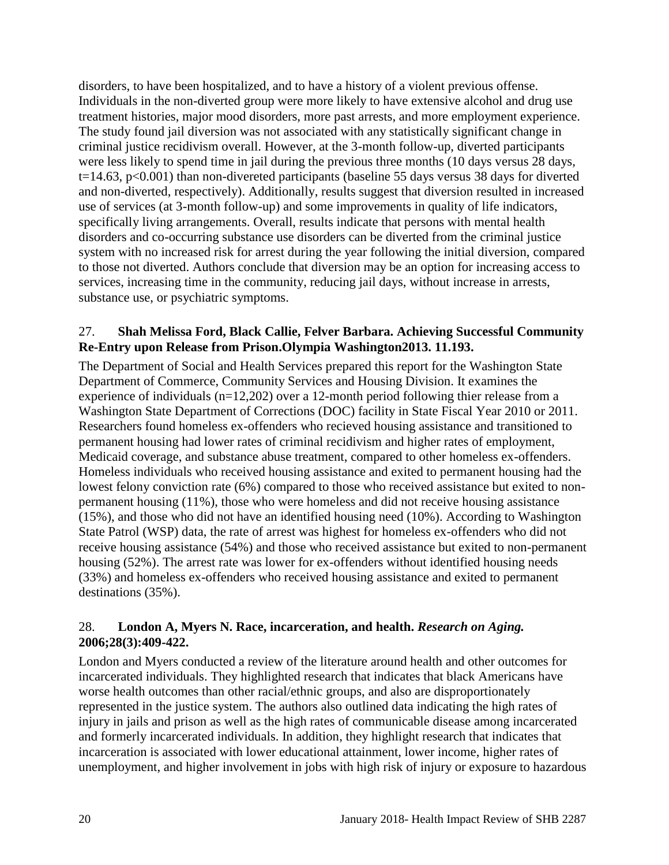disorders, to have been hospitalized, and to have a history of a violent previous offense. Individuals in the non-diverted group were more likely to have extensive alcohol and drug use treatment histories, major mood disorders, more past arrests, and more employment experience. The study found jail diversion was not associated with any statistically significant change in criminal justice recidivism overall. However, at the 3-month follow-up, diverted participants were less likely to spend time in jail during the previous three months (10 days versus 28 days, t=14.63, p<0.001) than non-divereted participants (baseline 55 days versus 38 days for diverted and non-diverted, respectively). Additionally, results suggest that diversion resulted in increased use of services (at 3-month follow-up) and some improvements in quality of life indicators, specifically living arrangements. Overall, results indicate that persons with mental health disorders and co-occurring substance use disorders can be diverted from the criminal justice system with no increased risk for arrest during the year following the initial diversion, compared to those not diverted. Authors conclude that diversion may be an option for increasing access to services, increasing time in the community, reducing jail days, without increase in arrests, substance use, or psychiatric symptoms.

#### <span id="page-21-0"></span>27. **Shah Melissa Ford, Black Callie, Felver Barbara. Achieving Successful Community Re-Entry upon Release from Prison.Olympia Washington2013. 11.193.**

The Department of Social and Health Services prepared this report for the Washington State Department of Commerce, Community Services and Housing Division. It examines the experience of individuals (n=12,202) over a 12-month period following thier release from a Washington State Department of Corrections (DOC) facility in State Fiscal Year 2010 or 2011. Researchers found homeless ex-offenders who recieved housing assistance and transitioned to permanent housing had lower rates of criminal recidivism and higher rates of employment, Medicaid coverage, and substance abuse treatment, compared to other homeless ex-offenders. Homeless individuals who received housing assistance and exited to permanent housing had the lowest felony conviction rate (6%) compared to those who received assistance but exited to nonpermanent housing (11%), those who were homeless and did not receive housing assistance (15%), and those who did not have an identified housing need (10%). According to Washington State Patrol (WSP) data, the rate of arrest was highest for homeless ex-offenders who did not receive housing assistance (54%) and those who received assistance but exited to non-permanent housing (52%). The arrest rate was lower for ex-offenders without identified housing needs (33%) and homeless ex-offenders who received housing assistance and exited to permanent destinations (35%).

## <span id="page-21-1"></span>28. **London A, Myers N. Race, incarceration, and health.** *Research on Aging.*  **2006;28(3):409-422.**

London and Myers conducted a review of the literature around health and other outcomes for incarcerated individuals. They highlighted research that indicates that black Americans have worse health outcomes than other racial/ethnic groups, and also are disproportionately represented in the justice system. The authors also outlined data indicating the high rates of injury in jails and prison as well as the high rates of communicable disease among incarcerated and formerly incarcerated individuals. In addition, they highlight research that indicates that incarceration is associated with lower educational attainment, lower income, higher rates of unemployment, and higher involvement in jobs with high risk of injury or exposure to hazardous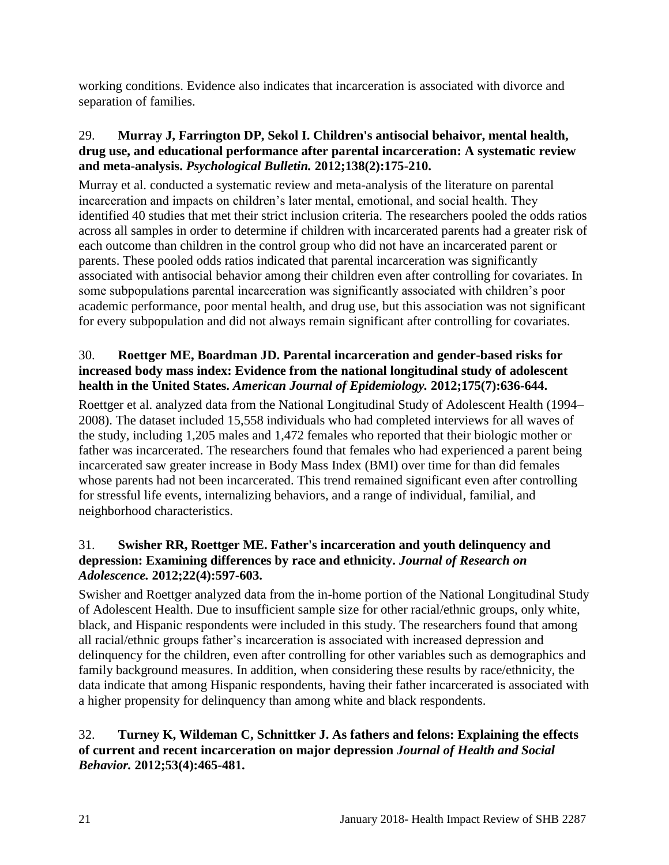working conditions. Evidence also indicates that incarceration is associated with divorce and separation of families.

## 29. **Murray J, Farrington DP, Sekol I. Children's antisocial behaivor, mental health, drug use, and educational performance after parental incarceration: A systematic review and meta-analysis.** *Psychological Bulletin.* **2012;138(2):175-210.**

Murray et al. conducted a systematic review and meta-analysis of the literature on parental incarceration and impacts on children's later mental, emotional, and social health. They identified 40 studies that met their strict inclusion criteria. The researchers pooled the odds ratios across all samples in order to determine if children with incarcerated parents had a greater risk of each outcome than children in the control group who did not have an incarcerated parent or parents. These pooled odds ratios indicated that parental incarceration was significantly associated with antisocial behavior among their children even after controlling for covariates. In some subpopulations parental incarceration was significantly associated with children's poor academic performance, poor mental health, and drug use, but this association was not significant for every subpopulation and did not always remain significant after controlling for covariates.

## <span id="page-22-0"></span>30. **Roettger ME, Boardman JD. Parental incarceration and gender-based risks for increased body mass index: Evidence from the national longitudinal study of adolescent health in the United States.** *American Journal of Epidemiology.* **2012;175(7):636-644.**

Roettger et al. analyzed data from the National Longitudinal Study of Adolescent Health (1994– 2008). The dataset included 15,558 individuals who had completed interviews for all waves of the study, including 1,205 males and 1,472 females who reported that their biologic mother or father was incarcerated. The researchers found that females who had experienced a parent being incarcerated saw greater increase in Body Mass Index (BMI) over time for than did females whose parents had not been incarcerated. This trend remained significant even after controlling for stressful life events, internalizing behaviors, and a range of individual, familial, and neighborhood characteristics.

## 31. **Swisher RR, Roettger ME. Father's incarceration and youth delinquency and depression: Examining differences by race and ethnicity.** *Journal of Research on Adolescence.* **2012;22(4):597-603.**

Swisher and Roettger analyzed data from the in-home portion of the National Longitudinal Study of Adolescent Health. Due to insufficient sample size for other racial/ethnic groups, only white, black, and Hispanic respondents were included in this study. The researchers found that among all racial/ethnic groups father's incarceration is associated with increased depression and delinquency for the children, even after controlling for other variables such as demographics and family background measures. In addition, when considering these results by race/ethnicity, the data indicate that among Hispanic respondents, having their father incarcerated is associated with a higher propensity for delinquency than among white and black respondents.

## 32. **Turney K, Wildeman C, Schnittker J. As fathers and felons: Explaining the effects of current and recent incarceration on major depression** *Journal of Health and Social Behavior.* **2012;53(4):465-481.**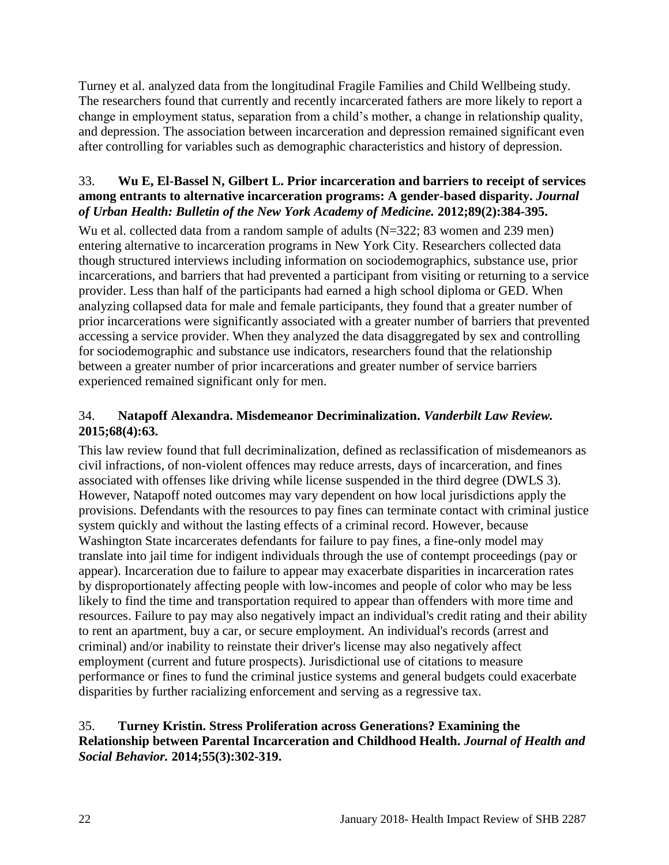Turney et al. analyzed data from the longitudinal Fragile Families and Child Wellbeing study. The researchers found that currently and recently incarcerated fathers are more likely to report a change in employment status, separation from a child's mother, a change in relationship quality, and depression. The association between incarceration and depression remained significant even after controlling for variables such as demographic characteristics and history of depression.

## 33. **Wu E, El-Bassel N, Gilbert L. Prior incarceration and barriers to receipt of services among entrants to alternative incarceration programs: A gender-based disparity.** *Journal of Urban Health: Bulletin of the New York Academy of Medicine.* **2012;89(2):384-395.**

Wu et al. collected data from a random sample of adults (N=322; 83 women and 239 men) entering alternative to incarceration programs in New York City. Researchers collected data though structured interviews including information on sociodemographics, substance use, prior incarcerations, and barriers that had prevented a participant from visiting or returning to a service provider. Less than half of the participants had earned a high school diploma or GED. When analyzing collapsed data for male and female participants, they found that a greater number of prior incarcerations were significantly associated with a greater number of barriers that prevented accessing a service provider. When they analyzed the data disaggregated by sex and controlling for sociodemographic and substance use indicators, researchers found that the relationship between a greater number of prior incarcerations and greater number of service barriers experienced remained significant only for men.

## <span id="page-23-0"></span>34. **Natapoff Alexandra. Misdemeanor Decriminalization.** *Vanderbilt Law Review.*  **2015;68(4):63.**

This law review found that full decriminalization, defined as reclassification of misdemeanors as civil infractions, of non-violent offences may reduce arrests, days of incarceration, and fines associated with offenses like driving while license suspended in the third degree (DWLS 3). However, Natapoff noted outcomes may vary dependent on how local jurisdictions apply the provisions. Defendants with the resources to pay fines can terminate contact with criminal justice system quickly and without the lasting effects of a criminal record. However, because Washington State incarcerates defendants for failure to pay fines, a fine-only model may translate into jail time for indigent individuals through the use of contempt proceedings (pay or appear). Incarceration due to failure to appear may exacerbate disparities in incarceration rates by disproportionately affecting people with low-incomes and people of color who may be less likely to find the time and transportation required to appear than offenders with more time and resources. Failure to pay may also negatively impact an individual's credit rating and their ability to rent an apartment, buy a car, or secure employment. An individual's records (arrest and criminal) and/or inability to reinstate their driver's license may also negatively affect employment (current and future prospects). Jurisdictional use of citations to measure performance or fines to fund the criminal justice systems and general budgets could exacerbate disparities by further racializing enforcement and serving as a regressive tax.

## <span id="page-23-1"></span>35. **Turney Kristin. Stress Proliferation across Generations? Examining the Relationship between Parental Incarceration and Childhood Health.** *Journal of Health and Social Behavior.* **2014;55(3):302-319.**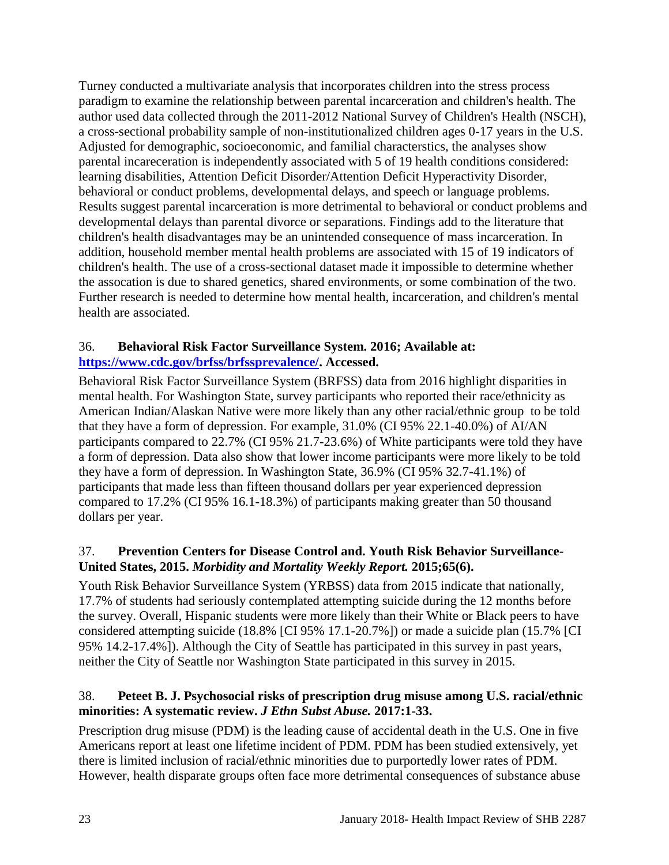Turney conducted a multivariate analysis that incorporates children into the stress process paradigm to examine the relationship between parental incarceration and children's health. The author used data collected through the 2011-2012 National Survey of Children's Health (NSCH), a cross-sectional probability sample of non-institutionalized children ages 0-17 years in the U.S. Adjusted for demographic, socioeconomic, and familial characterstics, the analyses show parental incareceration is independently associated with 5 of 19 health conditions considered: learning disabilities, Attention Deficit Disorder/Attention Deficit Hyperactivity Disorder, behavioral or conduct problems, developmental delays, and speech or language problems. Results suggest parental incarceration is more detrimental to behavioral or conduct problems and developmental delays than parental divorce or separations. Findings add to the literature that children's health disadvantages may be an unintended consequence of mass incarceration. In addition, household member mental health problems are associated with 15 of 19 indicators of children's health. The use of a cross-sectional dataset made it impossible to determine whether the assocation is due to shared genetics, shared environments, or some combination of the two. Further research is needed to determine how mental health, incarceration, and children's mental health are associated.

## <span id="page-24-0"></span>36. **Behavioral Risk Factor Surveillance System. 2016; Available at: [https://www.cdc.gov/brfss/brfssprevalence/.](https://www.cdc.gov/brfss/brfssprevalence/) Accessed.**

Behavioral Risk Factor Surveillance System (BRFSS) data from 2016 highlight disparities in mental health. For Washington State, survey participants who reported their race/ethnicity as American Indian/Alaskan Native were more likely than any other racial/ethnic group to be told that they have a form of depression. For example, 31.0% (CI 95% 22.1-40.0%) of AI/AN participants compared to 22.7% (CI 95% 21.7-23.6%) of White participants were told they have a form of depression. Data also show that lower income participants were more likely to be told they have a form of depression. In Washington State, 36.9% (CI 95% 32.7-41.1%) of participants that made less than fifteen thousand dollars per year experienced depression compared to 17.2% (CI 95% 16.1-18.3%) of participants making greater than 50 thousand dollars per year.

## 37. **Prevention Centers for Disease Control and. Youth Risk Behavior Surveillance-United States, 2015.** *Morbidity and Mortality Weekly Report.* **2015;65(6).**

Youth Risk Behavior Surveillance System (YRBSS) data from 2015 indicate that nationally, 17.7% of students had seriously contemplated attempting suicide during the 12 months before the survey. Overall, Hispanic students were more likely than their White or Black peers to have considered attempting suicide (18.8% [CI 95% 17.1-20.7%]) or made a suicide plan (15.7% [CI 95% 14.2-17.4%]). Although the City of Seattle has participated in this survey in past years, neither the City of Seattle nor Washington State participated in this survey in 2015.

## 38. **Peteet B. J. Psychosocial risks of prescription drug misuse among U.S. racial/ethnic minorities: A systematic review.** *J Ethn Subst Abuse.* **2017:1-33.**

Prescription drug misuse (PDM) is the leading cause of accidental death in the U.S. One in five Americans report at least one lifetime incident of PDM. PDM has been studied extensively, yet there is limited inclusion of racial/ethnic minorities due to purportedly lower rates of PDM. However, health disparate groups often face more detrimental consequences of substance abuse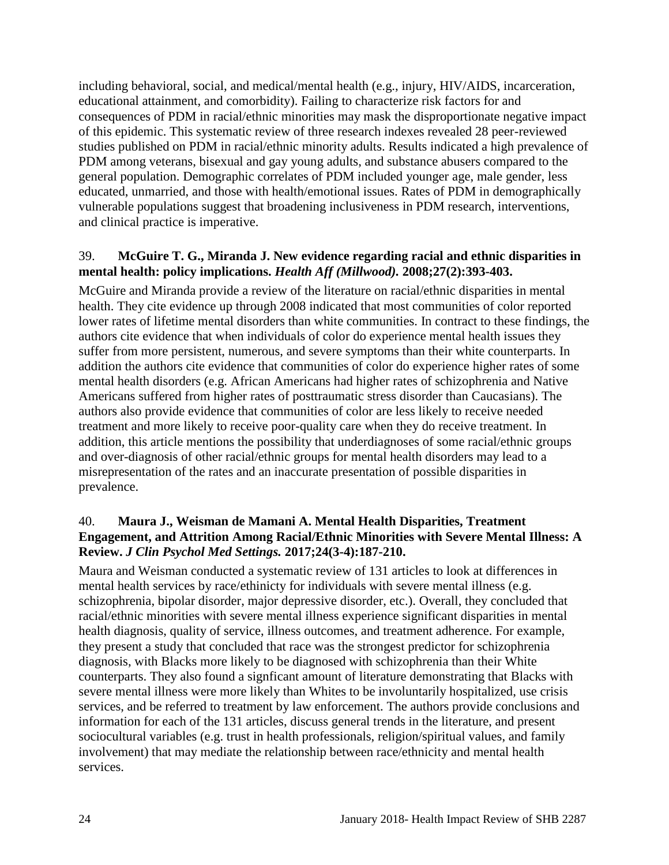including behavioral, social, and medical/mental health (e.g., injury, HIV/AIDS, incarceration, educational attainment, and comorbidity). Failing to characterize risk factors for and consequences of PDM in racial/ethnic minorities may mask the disproportionate negative impact of this epidemic. This systematic review of three research indexes revealed 28 peer-reviewed studies published on PDM in racial/ethnic minority adults. Results indicated a high prevalence of PDM among veterans, bisexual and gay young adults, and substance abusers compared to the general population. Demographic correlates of PDM included younger age, male gender, less educated, unmarried, and those with health/emotional issues. Rates of PDM in demographically vulnerable populations suggest that broadening inclusiveness in PDM research, interventions, and clinical practice is imperative.

## 39. **McGuire T. G., Miranda J. New evidence regarding racial and ethnic disparities in mental health: policy implications.** *Health Aff (Millwood).* **2008;27(2):393-403.**

McGuire and Miranda provide a review of the literature on racial/ethnic disparities in mental health. They cite evidence up through 2008 indicated that most communities of color reported lower rates of lifetime mental disorders than white communities. In contract to these findings, the authors cite evidence that when individuals of color do experience mental health issues they suffer from more persistent, numerous, and severe symptoms than their white counterparts. In addition the authors cite evidence that communities of color do experience higher rates of some mental health disorders (e.g. African Americans had higher rates of schizophrenia and Native Americans suffered from higher rates of posttraumatic stress disorder than Caucasians). The authors also provide evidence that communities of color are less likely to receive needed treatment and more likely to receive poor-quality care when they do receive treatment. In addition, this article mentions the possibility that underdiagnoses of some racial/ethnic groups and over-diagnosis of other racial/ethnic groups for mental health disorders may lead to a misrepresentation of the rates and an inaccurate presentation of possible disparities in prevalence.

#### 40. **Maura J., Weisman de Mamani A. Mental Health Disparities, Treatment Engagement, and Attrition Among Racial/Ethnic Minorities with Severe Mental Illness: A Review.** *J Clin Psychol Med Settings.* **2017;24(3-4):187-210.**

Maura and Weisman conducted a systematic review of 131 articles to look at differences in mental health services by race/ethinicty for individuals with severe mental illness (e.g. schizophrenia, bipolar disorder, major depressive disorder, etc.). Overall, they concluded that racial/ethnic minorities with severe mental illness experience significant disparities in mental health diagnosis, quality of service, illness outcomes, and treatment adherence. For example, they present a study that concluded that race was the strongest predictor for schizophrenia diagnosis, with Blacks more likely to be diagnosed with schizophrenia than their White counterparts. They also found a signficant amount of literature demonstrating that Blacks with severe mental illness were more likely than Whites to be involuntarily hospitalized, use crisis services, and be referred to treatment by law enforcement. The authors provide conclusions and information for each of the 131 articles, discuss general trends in the literature, and present sociocultural variables (e.g. trust in health professionals, religion/spiritual values, and family involvement) that may mediate the relationship between race/ethnicity and mental health services.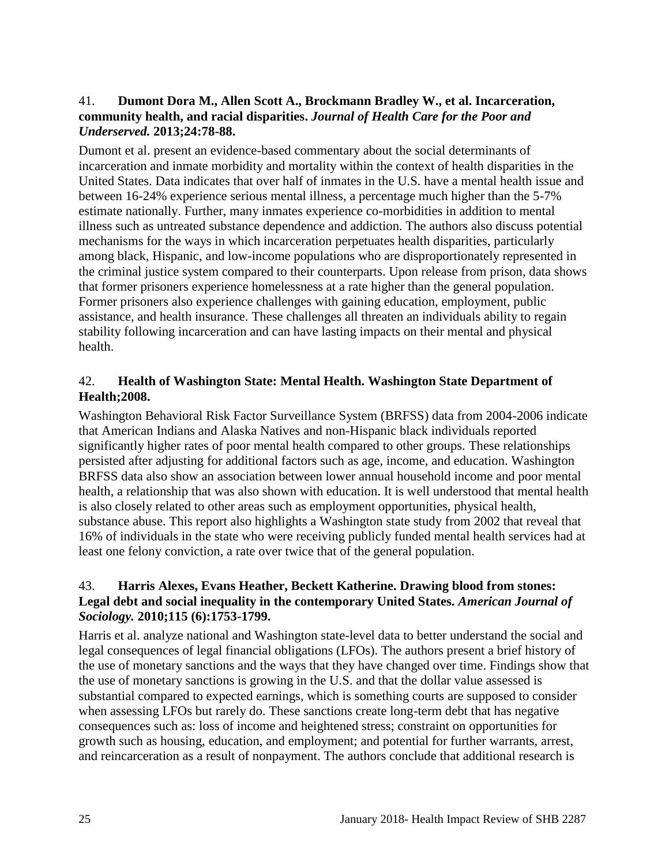#### <span id="page-26-0"></span>41. **Dumont Dora M., Allen Scott A., Brockmann Bradley W., et al. Incarceration, community health, and racial disparities.** *Journal of Health Care for the Poor and Underserved.* **2013;24:78-88.**

Dumont et al. present an evidence-based commentary about the social determinants of incarceration and inmate morbidity and mortality within the context of health disparities in the United States. Data indicates that over half of inmates in the U.S. have a mental health issue and between 16-24% experience serious mental illness, a percentage much higher than the 5-7% estimate nationally. Further, many inmates experience co-morbidities in addition to mental illness such as untreated substance dependence and addiction. The authors also discuss potential mechanisms for the ways in which incarceration perpetuates health disparities, particularly among black, Hispanic, and low-income populations who are disproportionately represented in the criminal justice system compared to their counterparts. Upon release from prison, data shows that former prisoners experience homelessness at a rate higher than the general population. Former prisoners also experience challenges with gaining education, employment, public assistance, and health insurance. These challenges all threaten an individuals ability to regain stability following incarceration and can have lasting impacts on their mental and physical health.

## <span id="page-26-2"></span>42. **Health of Washington State: Mental Health. Washington State Department of Health;2008.**

Washington Behavioral Risk Factor Surveillance System (BRFSS) data from 2004-2006 indicate that American Indians and Alaska Natives and non-Hispanic black individuals reported significantly higher rates of poor mental health compared to other groups. These relationships persisted after adjusting for additional factors such as age, income, and education. Washington BRFSS data also show an association between lower annual household income and poor mental health, a relationship that was also shown with education. It is well understood that mental health is also closely related to other areas such as employment opportunities, physical health, substance abuse. This report also highlights a Washington state study from 2002 that reveal that 16% of individuals in the state who were receiving publicly funded mental health services had at least one felony conviction, a rate over twice that of the general population.

#### <span id="page-26-1"></span>43. **Harris Alexes, Evans Heather, Beckett Katherine. Drawing blood from stones: Legal debt and social inequality in the contemporary United States.** *American Journal of Sociology.* **2010;115 (6):1753-1799.**

Harris et al. analyze national and Washington state-level data to better understand the social and legal consequences of legal financial obligations (LFOs). The authors present a brief history of the use of monetary sanctions and the ways that they have changed over time. Findings show that the use of monetary sanctions is growing in the U.S. and that the dollar value assessed is substantial compared to expected earnings, which is something courts are supposed to consider when assessing LFOs but rarely do. These sanctions create long-term debt that has negative consequences such as: loss of income and heightened stress; constraint on opportunities for growth such as housing, education, and employment; and potential for further warrants, arrest, and reincarceration as a result of nonpayment. The authors conclude that additional research is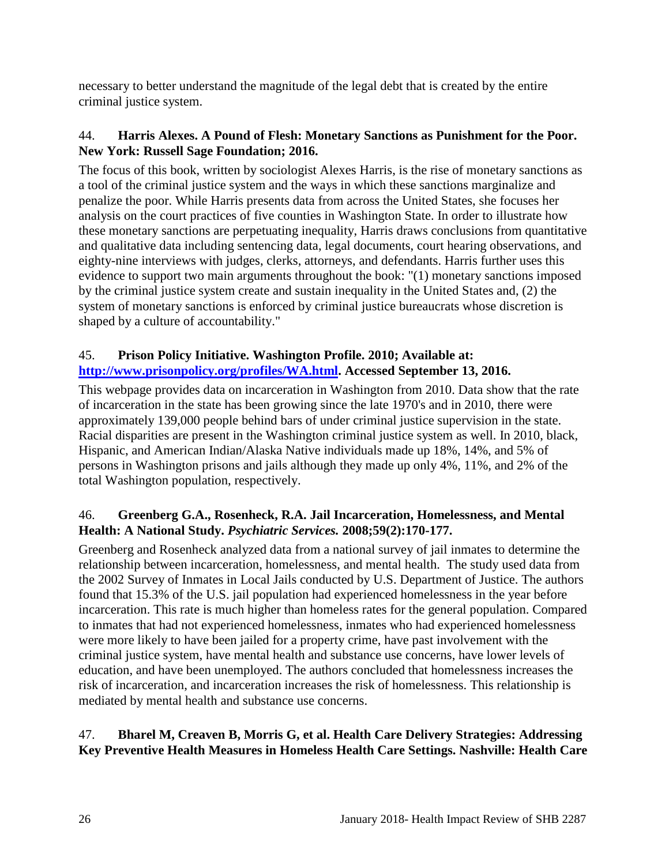necessary to better understand the magnitude of the legal debt that is created by the entire criminal justice system.

## 44. **Harris Alexes. A Pound of Flesh: Monetary Sanctions as Punishment for the Poor. New York: Russell Sage Foundation; 2016.**

The focus of this book, written by sociologist Alexes Harris, is the rise of monetary sanctions as a tool of the criminal justice system and the ways in which these sanctions marginalize and penalize the poor. While Harris presents data from across the United States, she focuses her analysis on the court practices of five counties in Washington State. In order to illustrate how these monetary sanctions are perpetuating inequality, Harris draws conclusions from quantitative and qualitative data including sentencing data, legal documents, court hearing observations, and eighty-nine interviews with judges, clerks, attorneys, and defendants. Harris further uses this evidence to support two main arguments throughout the book: "(1) monetary sanctions imposed by the criminal justice system create and sustain inequality in the United States and, (2) the system of monetary sanctions is enforced by criminal justice bureaucrats whose discretion is shaped by a culture of accountability."

## 45. **Prison Policy Initiative. Washington Profile. 2010; Available at: [http://www.prisonpolicy.org/profiles/WA.html.](http://www.prisonpolicy.org/profiles/WA.html) Accessed September 13, 2016.**

This webpage provides data on incarceration in Washington from 2010. Data show that the rate of incarceration in the state has been growing since the late 1970's and in 2010, there were approximately 139,000 people behind bars of under criminal justice supervision in the state. Racial disparities are present in the Washington criminal justice system as well. In 2010, black, Hispanic, and American Indian/Alaska Native individuals made up 18%, 14%, and 5% of persons in Washington prisons and jails although they made up only 4%, 11%, and 2% of the total Washington population, respectively.

## 46. **Greenberg G.A., Rosenheck, R.A. Jail Incarceration, Homelessness, and Mental Health: A National Study.** *Psychiatric Services.* **2008;59(2):170-177.**

Greenberg and Rosenheck analyzed data from a national survey of jail inmates to determine the relationship between incarceration, homelessness, and mental health. The study used data from the 2002 Survey of Inmates in Local Jails conducted by U.S. Department of Justice. The authors found that 15.3% of the U.S. jail population had experienced homelessness in the year before incarceration. This rate is much higher than homeless rates for the general population. Compared to inmates that had not experienced homelessness, inmates who had experienced homelessness were more likely to have been jailed for a property crime, have past involvement with the criminal justice system, have mental health and substance use concerns, have lower levels of education, and have been unemployed. The authors concluded that homelessness increases the risk of incarceration, and incarceration increases the risk of homelessness. This relationship is mediated by mental health and substance use concerns.

## <span id="page-27-0"></span>47. **Bharel M, Creaven B, Morris G, et al. Health Care Delivery Strategies: Addressing Key Preventive Health Measures in Homeless Health Care Settings. Nashville: Health Care**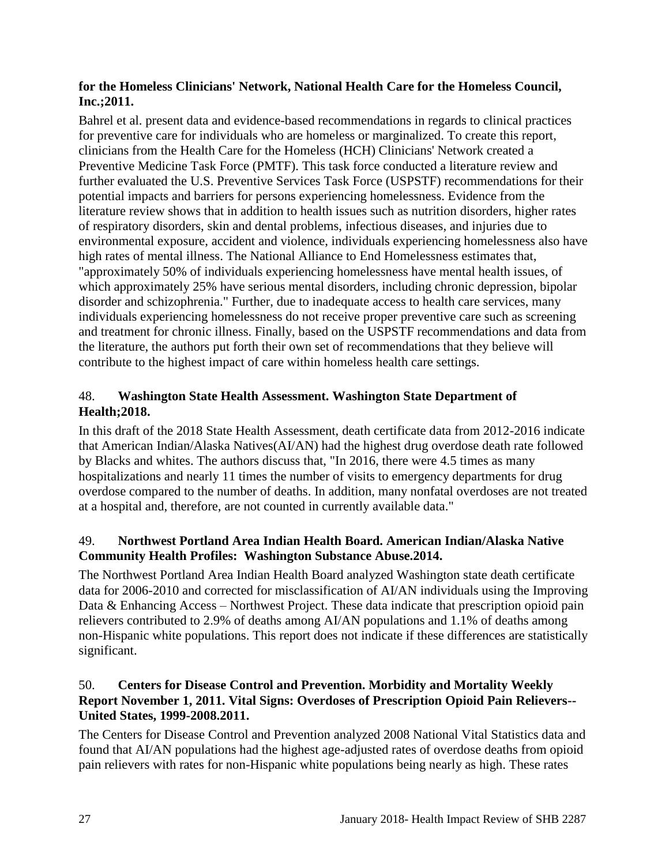#### **for the Homeless Clinicians' Network, National Health Care for the Homeless Council, Inc.;2011.**

Bahrel et al. present data and evidence-based recommendations in regards to clinical practices for preventive care for individuals who are homeless or marginalized. To create this report, clinicians from the Health Care for the Homeless (HCH) Clinicians' Network created a Preventive Medicine Task Force (PMTF). This task force conducted a literature review and further evaluated the U.S. Preventive Services Task Force (USPSTF) recommendations for their potential impacts and barriers for persons experiencing homelessness. Evidence from the literature review shows that in addition to health issues such as nutrition disorders, higher rates of respiratory disorders, skin and dental problems, infectious diseases, and injuries due to environmental exposure, accident and violence, individuals experiencing homelessness also have high rates of mental illness. The National Alliance to End Homelessness estimates that, "approximately 50% of individuals experiencing homelessness have mental health issues, of which approximately 25% have serious mental disorders, including chronic depression, bipolar disorder and schizophrenia." Further, due to inadequate access to health care services, many individuals experiencing homelessness do not receive proper preventive care such as screening and treatment for chronic illness. Finally, based on the USPSTF recommendations and data from the literature, the authors put forth their own set of recommendations that they believe will contribute to the highest impact of care within homeless health care settings.

## 48. **Washington State Health Assessment. Washington State Department of Health;2018.**

In this draft of the 2018 State Health Assessment, death certificate data from 2012-2016 indicate that American Indian/Alaska Natives(AI/AN) had the highest drug overdose death rate followed by Blacks and whites. The authors discuss that, "In 2016, there were 4.5 times as many hospitalizations and nearly 11 times the number of visits to emergency departments for drug overdose compared to the number of deaths. In addition, many nonfatal overdoses are not treated at a hospital and, therefore, are not counted in currently available data."

## 49. **Northwest Portland Area Indian Health Board. American Indian/Alaska Native Community Health Profiles: Washington Substance Abuse.2014.**

The Northwest Portland Area Indian Health Board analyzed Washington state death certificate data for 2006-2010 and corrected for misclassification of AI/AN individuals using the Improving Data & Enhancing Access – Northwest Project. These data indicate that prescription opioid pain relievers contributed to 2.9% of deaths among AI/AN populations and 1.1% of deaths among non-Hispanic white populations. This report does not indicate if these differences are statistically significant.

## 50. **Centers for Disease Control and Prevention. Morbidity and Mortality Weekly Report November 1, 2011. Vital Signs: Overdoses of Prescription Opioid Pain Relievers-- United States, 1999-2008.2011.**

The Centers for Disease Control and Prevention analyzed 2008 National Vital Statistics data and found that AI/AN populations had the highest age-adjusted rates of overdose deaths from opioid pain relievers with rates for non-Hispanic white populations being nearly as high. These rates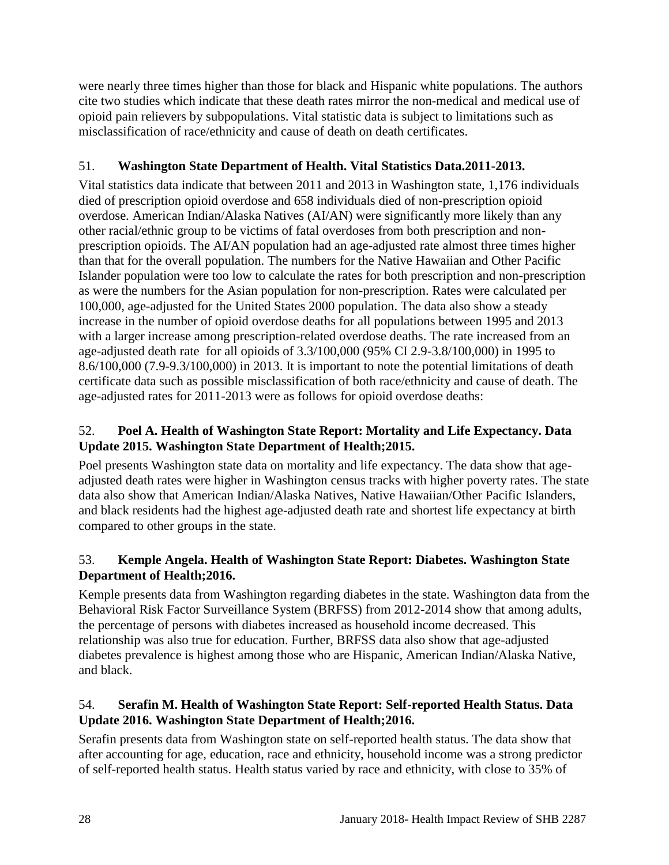were nearly three times higher than those for black and Hispanic white populations. The authors cite two studies which indicate that these death rates mirror the non-medical and medical use of opioid pain relievers by subpopulations. Vital statistic data is subject to limitations such as misclassification of race/ethnicity and cause of death on death certificates.

## 51. **Washington State Department of Health. Vital Statistics Data.2011-2013.**

Vital statistics data indicate that between 2011 and 2013 in Washington state, 1,176 individuals died of prescription opioid overdose and 658 individuals died of non-prescription opioid overdose. American Indian/Alaska Natives (AI/AN) were significantly more likely than any other racial/ethnic group to be victims of fatal overdoses from both prescription and nonprescription opioids. The AI/AN population had an age-adjusted rate almost three times higher than that for the overall population. The numbers for the Native Hawaiian and Other Pacific Islander population were too low to calculate the rates for both prescription and non-prescription as were the numbers for the Asian population for non-prescription. Rates were calculated per 100,000, age-adjusted for the United States 2000 population. The data also show a steady increase in the number of opioid overdose deaths for all populations between 1995 and 2013 with a larger increase among prescription-related overdose deaths. The rate increased from an age-adjusted death rate for all opioids of 3.3/100,000 (95% CI 2.9-3.8/100,000) in 1995 to 8.6/100,000 (7.9-9.3/100,000) in 2013. It is important to note the potential limitations of death certificate data such as possible misclassification of both race/ethnicity and cause of death. The age-adjusted rates for 2011-2013 were as follows for opioid overdose deaths:

## 52. **Poel A. Health of Washington State Report: Mortality and Life Expectancy. Data Update 2015. Washington State Department of Health;2015.**

Poel presents Washington state data on mortality and life expectancy. The data show that ageadjusted death rates were higher in Washington census tracks with higher poverty rates. The state data also show that American Indian/Alaska Natives, Native Hawaiian/Other Pacific Islanders, and black residents had the highest age-adjusted death rate and shortest life expectancy at birth compared to other groups in the state.

## <span id="page-29-0"></span>53. **Kemple Angela. Health of Washington State Report: Diabetes. Washington State Department of Health;2016.**

Kemple presents data from Washington regarding diabetes in the state. Washington data from the Behavioral Risk Factor Surveillance System (BRFSS) from 2012-2014 show that among adults, the percentage of persons with diabetes increased as household income decreased. This relationship was also true for education. Further, BRFSS data also show that age-adjusted diabetes prevalence is highest among those who are Hispanic, American Indian/Alaska Native, and black.

## 54. **Serafin M. Health of Washington State Report: Self-reported Health Status. Data Update 2016. Washington State Department of Health;2016.**

Serafin presents data from Washington state on self-reported health status. The data show that after accounting for age, education, race and ethnicity, household income was a strong predictor of self-reported health status. Health status varied by race and ethnicity, with close to 35% of